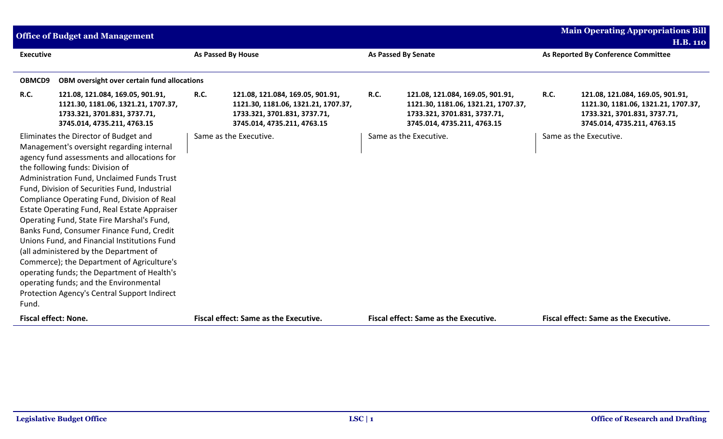|                  | <b>Office of Budget and Management</b>                                                                                                                                                                                                                                                                                                                                                                                                                                                                                                                                                                                                                                                                                                          |             |                                                                                                                                        |             |                                                                                                                                        |             | <b>Main Operating Appropriations Bill</b>                                                                                              |
|------------------|-------------------------------------------------------------------------------------------------------------------------------------------------------------------------------------------------------------------------------------------------------------------------------------------------------------------------------------------------------------------------------------------------------------------------------------------------------------------------------------------------------------------------------------------------------------------------------------------------------------------------------------------------------------------------------------------------------------------------------------------------|-------------|----------------------------------------------------------------------------------------------------------------------------------------|-------------|----------------------------------------------------------------------------------------------------------------------------------------|-------------|----------------------------------------------------------------------------------------------------------------------------------------|
|                  |                                                                                                                                                                                                                                                                                                                                                                                                                                                                                                                                                                                                                                                                                                                                                 |             |                                                                                                                                        |             |                                                                                                                                        |             | <b>H.B. 110</b>                                                                                                                        |
| <b>Executive</b> |                                                                                                                                                                                                                                                                                                                                                                                                                                                                                                                                                                                                                                                                                                                                                 |             | <b>As Passed By House</b>                                                                                                              |             | <b>As Passed By Senate</b>                                                                                                             |             | As Reported By Conference Committee                                                                                                    |
|                  |                                                                                                                                                                                                                                                                                                                                                                                                                                                                                                                                                                                                                                                                                                                                                 |             |                                                                                                                                        |             |                                                                                                                                        |             |                                                                                                                                        |
| OBMCD9           | OBM oversight over certain fund allocations                                                                                                                                                                                                                                                                                                                                                                                                                                                                                                                                                                                                                                                                                                     |             |                                                                                                                                        |             |                                                                                                                                        |             |                                                                                                                                        |
| R.C.             | 121.08, 121.084, 169.05, 901.91,<br>1121.30, 1181.06, 1321.21, 1707.37,<br>1733.321, 3701.831, 3737.71,<br>3745.014, 4735.211, 4763.15                                                                                                                                                                                                                                                                                                                                                                                                                                                                                                                                                                                                          | <b>R.C.</b> | 121.08, 121.084, 169.05, 901.91,<br>1121.30, 1181.06, 1321.21, 1707.37,<br>1733.321, 3701.831, 3737.71,<br>3745.014, 4735.211, 4763.15 | <b>R.C.</b> | 121.08, 121.084, 169.05, 901.91,<br>1121.30, 1181.06, 1321.21, 1707.37,<br>1733.321, 3701.831, 3737.71,<br>3745.014, 4735.211, 4763.15 | <b>R.C.</b> | 121.08, 121.084, 169.05, 901.91,<br>1121.30, 1181.06, 1321.21, 1707.37,<br>1733.321, 3701.831, 3737.71,<br>3745.014, 4735.211, 4763.15 |
| Fund.            | Eliminates the Director of Budget and<br>Management's oversight regarding internal<br>agency fund assessments and allocations for<br>the following funds: Division of<br>Administration Fund, Unclaimed Funds Trust<br>Fund, Division of Securities Fund, Industrial<br>Compliance Operating Fund, Division of Real<br>Estate Operating Fund, Real Estate Appraiser<br>Operating Fund, State Fire Marshal's Fund,<br>Banks Fund, Consumer Finance Fund, Credit<br>Unions Fund, and Financial Institutions Fund<br>(all administered by the Department of<br>Commerce); the Department of Agriculture's<br>operating funds; the Department of Health's<br>operating funds; and the Environmental<br>Protection Agency's Central Support Indirect |             | Same as the Executive.                                                                                                                 |             | Same as the Executive.                                                                                                                 |             | Same as the Executive.                                                                                                                 |
|                  | <b>Fiscal effect: None.</b>                                                                                                                                                                                                                                                                                                                                                                                                                                                                                                                                                                                                                                                                                                                     |             | Fiscal effect: Same as the Executive.                                                                                                  |             | <b>Fiscal effect: Same as the Executive.</b>                                                                                           |             | <b>Fiscal effect: Same as the Executive.</b>                                                                                           |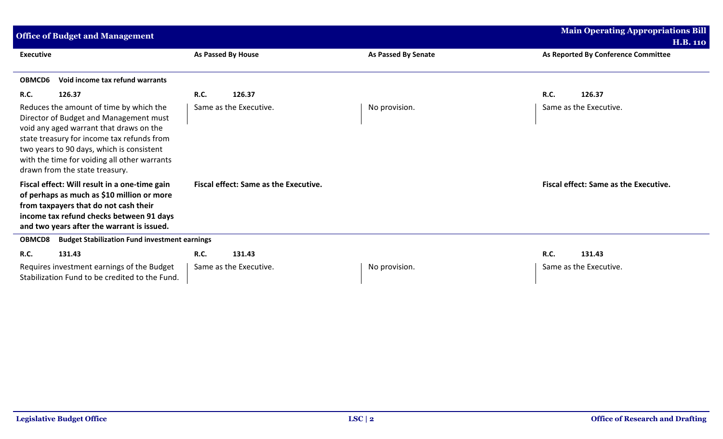| <b>Office of Budget and Management</b>                                                                                                                                                                                                                                                                    | <b>Main Operating Appropriations Bill</b>    |                            |                                              |
|-----------------------------------------------------------------------------------------------------------------------------------------------------------------------------------------------------------------------------------------------------------------------------------------------------------|----------------------------------------------|----------------------------|----------------------------------------------|
|                                                                                                                                                                                                                                                                                                           |                                              |                            | <b>H.B. 110</b>                              |
| <b>Executive</b>                                                                                                                                                                                                                                                                                          | As Passed By House                           | <b>As Passed By Senate</b> | As Reported By Conference Committee          |
| Void income tax refund warrants<br>OBMCD6                                                                                                                                                                                                                                                                 |                                              |                            |                                              |
| <b>R.C.</b><br>126.37                                                                                                                                                                                                                                                                                     | <b>R.C.</b><br>126.37                        |                            | <b>R.C.</b><br>126.37                        |
| Reduces the amount of time by which the<br>Director of Budget and Management must<br>void any aged warrant that draws on the<br>state treasury for income tax refunds from<br>two years to 90 days, which is consistent<br>with the time for voiding all other warrants<br>drawn from the state treasury. | Same as the Executive.                       | No provision.              | Same as the Executive.                       |
| Fiscal effect: Will result in a one-time gain<br>of perhaps as much as \$10 million or more<br>from taxpayers that do not cash their<br>income tax refund checks between 91 days<br>and two years after the warrant is issued.                                                                            | <b>Fiscal effect: Same as the Executive.</b> |                            | <b>Fiscal effect: Same as the Executive.</b> |
| <b>Budget Stabilization Fund investment earnings</b><br><b>OBMCD8</b>                                                                                                                                                                                                                                     |                                              |                            |                                              |
| R.C.<br>131.43                                                                                                                                                                                                                                                                                            | <b>R.C.</b><br>131.43                        |                            | <b>R.C.</b><br>131.43                        |
| Requires investment earnings of the Budget<br>Stabilization Fund to be credited to the Fund.                                                                                                                                                                                                              | Same as the Executive.                       | No provision.              | Same as the Executive.                       |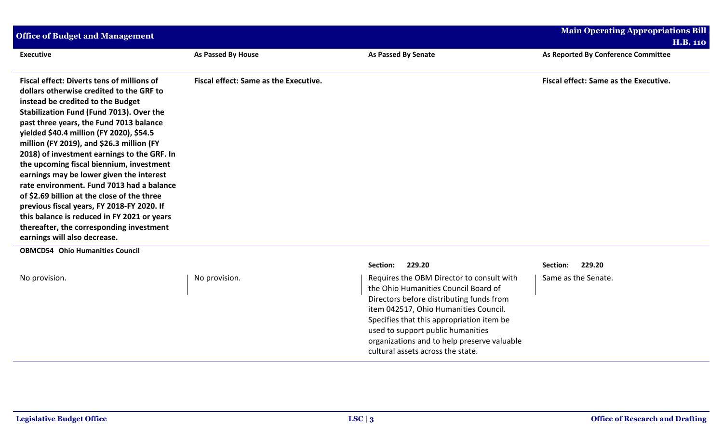| <b>Office of Budget and Management</b>                                                                                                                                                                                                                                                                                                                                                                                                                                                                                                                                                                                                                                                                                  | <b>Main Operating Appropriations Bill</b><br><b>H.B. 110</b> |                                                                                                                                                                                                                                                                                                                                              |                                              |
|-------------------------------------------------------------------------------------------------------------------------------------------------------------------------------------------------------------------------------------------------------------------------------------------------------------------------------------------------------------------------------------------------------------------------------------------------------------------------------------------------------------------------------------------------------------------------------------------------------------------------------------------------------------------------------------------------------------------------|--------------------------------------------------------------|----------------------------------------------------------------------------------------------------------------------------------------------------------------------------------------------------------------------------------------------------------------------------------------------------------------------------------------------|----------------------------------------------|
| <b>Executive</b>                                                                                                                                                                                                                                                                                                                                                                                                                                                                                                                                                                                                                                                                                                        | As Passed By House                                           | <b>As Passed By Senate</b>                                                                                                                                                                                                                                                                                                                   | As Reported By Conference Committee          |
| Fiscal effect: Diverts tens of millions of<br>dollars otherwise credited to the GRF to<br>instead be credited to the Budget<br>Stabilization Fund (Fund 7013). Over the<br>past three years, the Fund 7013 balance<br>yielded \$40.4 million (FY 2020), \$54.5<br>million (FY 2019), and \$26.3 million (FY<br>2018) of investment earnings to the GRF. In<br>the upcoming fiscal biennium, investment<br>earnings may be lower given the interest<br>rate environment. Fund 7013 had a balance<br>of \$2.69 billion at the close of the three<br>previous fiscal years, FY 2018-FY 2020. If<br>this balance is reduced in FY 2021 or years<br>thereafter, the corresponding investment<br>earnings will also decrease. | Fiscal effect: Same as the Executive.                        |                                                                                                                                                                                                                                                                                                                                              | <b>Fiscal effect: Same as the Executive.</b> |
| <b>OBMCD54 Ohio Humanities Council</b>                                                                                                                                                                                                                                                                                                                                                                                                                                                                                                                                                                                                                                                                                  |                                                              | Section:<br>229.20                                                                                                                                                                                                                                                                                                                           | Section:<br>229.20                           |
| No provision.                                                                                                                                                                                                                                                                                                                                                                                                                                                                                                                                                                                                                                                                                                           | No provision.                                                | Requires the OBM Director to consult with<br>the Ohio Humanities Council Board of<br>Directors before distributing funds from<br>item 042517, Ohio Humanities Council.<br>Specifies that this appropriation item be<br>used to support public humanities<br>organizations and to help preserve valuable<br>cultural assets across the state. | Same as the Senate.                          |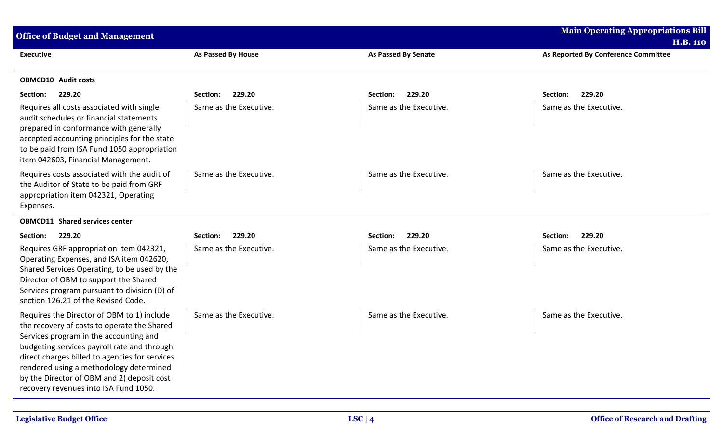| <b>Office of Budget and Management</b>                                                                                                                                                                                                                                                                                                                                 |                        |                            | <b>Main Operating Appropriations Bill</b><br><b>H.B. 110</b> |
|------------------------------------------------------------------------------------------------------------------------------------------------------------------------------------------------------------------------------------------------------------------------------------------------------------------------------------------------------------------------|------------------------|----------------------------|--------------------------------------------------------------|
| <b>Executive</b>                                                                                                                                                                                                                                                                                                                                                       | As Passed By House     | <b>As Passed By Senate</b> | As Reported By Conference Committee                          |
| <b>OBMCD10</b> Audit costs                                                                                                                                                                                                                                                                                                                                             |                        |                            |                                                              |
| 229.20<br>Section:                                                                                                                                                                                                                                                                                                                                                     | 229.20<br>Section:     | 229.20<br>Section:         | 229.20<br>Section:                                           |
| Requires all costs associated with single<br>audit schedules or financial statements<br>prepared in conformance with generally<br>accepted accounting principles for the state<br>to be paid from ISA Fund 1050 appropriation<br>item 042603, Financial Management.                                                                                                    | Same as the Executive. | Same as the Executive.     | Same as the Executive.                                       |
| Requires costs associated with the audit of<br>the Auditor of State to be paid from GRF<br>appropriation item 042321, Operating<br>Expenses.                                                                                                                                                                                                                           | Same as the Executive. | Same as the Executive.     | Same as the Executive.                                       |
| <b>OBMCD11 Shared services center</b>                                                                                                                                                                                                                                                                                                                                  |                        |                            |                                                              |
| 229.20<br>Section:                                                                                                                                                                                                                                                                                                                                                     | 229.20<br>Section:     | 229.20<br>Section:         | Section:<br>229.20                                           |
| Requires GRF appropriation item 042321,<br>Operating Expenses, and ISA item 042620,<br>Shared Services Operating, to be used by the<br>Director of OBM to support the Shared<br>Services program pursuant to division (D) of<br>section 126.21 of the Revised Code.                                                                                                    | Same as the Executive. | Same as the Executive.     | Same as the Executive.                                       |
| Requires the Director of OBM to 1) include<br>the recovery of costs to operate the Shared<br>Services program in the accounting and<br>budgeting services payroll rate and through<br>direct charges billed to agencies for services<br>rendered using a methodology determined<br>by the Director of OBM and 2) deposit cost<br>recovery revenues into ISA Fund 1050. | Same as the Executive. | Same as the Executive.     | Same as the Executive.                                       |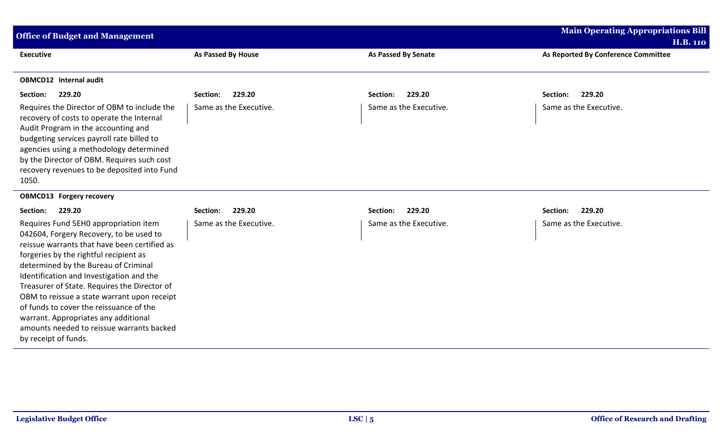| <b>Main Operating Appropriations Bill</b><br><b>Office of Budget and Management</b>                                                                                                                                                                                                                                                                                                                                                                                                                                   |                        |                            |                                     |  |  |
|-----------------------------------------------------------------------------------------------------------------------------------------------------------------------------------------------------------------------------------------------------------------------------------------------------------------------------------------------------------------------------------------------------------------------------------------------------------------------------------------------------------------------|------------------------|----------------------------|-------------------------------------|--|--|
|                                                                                                                                                                                                                                                                                                                                                                                                                                                                                                                       |                        |                            | <b>H.B. 110</b>                     |  |  |
| <b>Executive</b>                                                                                                                                                                                                                                                                                                                                                                                                                                                                                                      | As Passed By House     | <b>As Passed By Senate</b> | As Reported By Conference Committee |  |  |
| <b>OBMCD12</b> Internal audit                                                                                                                                                                                                                                                                                                                                                                                                                                                                                         |                        |                            |                                     |  |  |
| 229.20<br>Section:                                                                                                                                                                                                                                                                                                                                                                                                                                                                                                    | 229.20<br>Section:     | 229.20<br>Section:         | 229.20<br>Section:                  |  |  |
| Requires the Director of OBM to include the<br>recovery of costs to operate the Internal<br>Audit Program in the accounting and<br>budgeting services payroll rate billed to<br>agencies using a methodology determined<br>by the Director of OBM. Requires such cost<br>recovery revenues to be deposited into Fund<br>1050.                                                                                                                                                                                         | Same as the Executive. | Same as the Executive.     | Same as the Executive.              |  |  |
| <b>OBMCD13 Forgery recovery</b>                                                                                                                                                                                                                                                                                                                                                                                                                                                                                       |                        |                            |                                     |  |  |
| 229.20<br>Section:                                                                                                                                                                                                                                                                                                                                                                                                                                                                                                    | 229.20<br>Section:     | 229.20<br>Section:         | 229.20<br>Section:                  |  |  |
| Requires Fund 5EHO appropriation item<br>042604, Forgery Recovery, to be used to<br>reissue warrants that have been certified as<br>forgeries by the rightful recipient as<br>determined by the Bureau of Criminal<br>Identification and Investigation and the<br>Treasurer of State. Requires the Director of<br>OBM to reissue a state warrant upon receipt<br>of funds to cover the reissuance of the<br>warrant. Appropriates any additional<br>amounts needed to reissue warrants backed<br>by receipt of funds. | Same as the Executive. | Same as the Executive.     | Same as the Executive.              |  |  |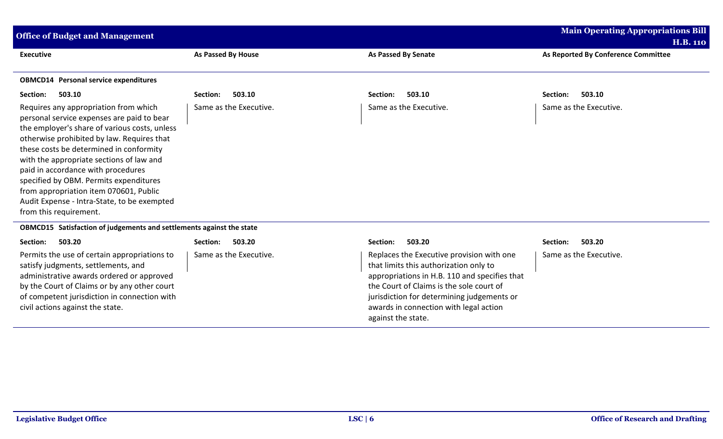| <b>Office of Budget and Management</b>                                                                                                                                                                                                                                                                                                                                                                                                                                       | <b>Main Operating Appropriations Bill</b><br><b>H.B. 110</b> |                        |                                     |
|------------------------------------------------------------------------------------------------------------------------------------------------------------------------------------------------------------------------------------------------------------------------------------------------------------------------------------------------------------------------------------------------------------------------------------------------------------------------------|--------------------------------------------------------------|------------------------|-------------------------------------|
| <b>Executive</b>                                                                                                                                                                                                                                                                                                                                                                                                                                                             | As Passed By House                                           | As Passed By Senate    | As Reported By Conference Committee |
| <b>OBMCD14</b> Personal service expenditures                                                                                                                                                                                                                                                                                                                                                                                                                                 |                                                              |                        |                                     |
| 503.10<br>Section:                                                                                                                                                                                                                                                                                                                                                                                                                                                           | 503.10<br>Section:                                           | 503.10<br>Section:     | 503.10<br>Section:                  |
| Requires any appropriation from which<br>personal service expenses are paid to bear<br>the employer's share of various costs, unless<br>otherwise prohibited by law. Requires that<br>these costs be determined in conformity<br>with the appropriate sections of law and<br>paid in accordance with procedures<br>specified by OBM. Permits expenditures<br>from appropriation item 070601, Public<br>Audit Expense - Intra-State, to be exempted<br>from this requirement. | Same as the Executive.                                       | Same as the Executive. | Same as the Executive.              |

## **OBMCD15 Satisfaction of judgements and settlements against the state**

| Section:                                                                                                                                                                                                                                                             | 503.20                 | 503.20                                                                                                                                                                                                                                                                                         | 503.20                 |
|----------------------------------------------------------------------------------------------------------------------------------------------------------------------------------------------------------------------------------------------------------------------|------------------------|------------------------------------------------------------------------------------------------------------------------------------------------------------------------------------------------------------------------------------------------------------------------------------------------|------------------------|
| 503.20                                                                                                                                                                                                                                                               | Section:               | Section:                                                                                                                                                                                                                                                                                       | Section:               |
| Permits the use of certain appropriations to<br>satisfy judgments, settlements, and<br>administrative awards ordered or approved<br>by the Court of Claims or by any other court<br>of competent jurisdiction in connection with<br>civil actions against the state. | Same as the Executive. | Replaces the Executive provision with one<br>that limits this authorization only to<br>appropriations in H.B. 110 and specifies that<br>the Court of Claims is the sole court of<br>jurisdiction for determining judgements or<br>awards in connection with legal action<br>against the state. | Same as the Executive. |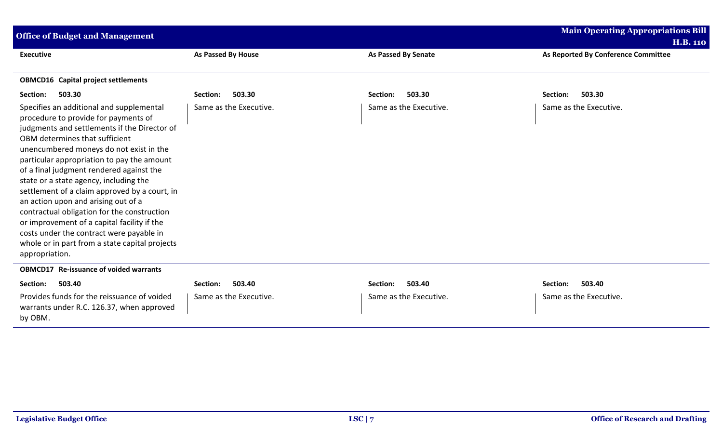| <b>Main Operating Appropriations Bill</b><br><b>Office of Budget and Management</b>                                                                                                                                                                                                                                                                                                                                                                                                                                                                                                                                                                     |                           |                            |                                     |  |
|---------------------------------------------------------------------------------------------------------------------------------------------------------------------------------------------------------------------------------------------------------------------------------------------------------------------------------------------------------------------------------------------------------------------------------------------------------------------------------------------------------------------------------------------------------------------------------------------------------------------------------------------------------|---------------------------|----------------------------|-------------------------------------|--|
|                                                                                                                                                                                                                                                                                                                                                                                                                                                                                                                                                                                                                                                         |                           |                            | <b>H.B. 110</b>                     |  |
| <b>Executive</b>                                                                                                                                                                                                                                                                                                                                                                                                                                                                                                                                                                                                                                        | <b>As Passed By House</b> | <b>As Passed By Senate</b> | As Reported By Conference Committee |  |
| <b>OBMCD16</b> Capital project settlements                                                                                                                                                                                                                                                                                                                                                                                                                                                                                                                                                                                                              |                           |                            |                                     |  |
| 503.30<br>Section:                                                                                                                                                                                                                                                                                                                                                                                                                                                                                                                                                                                                                                      | 503.30<br>Section:        | 503.30<br>Section:         | Section:<br>503.30                  |  |
| Specifies an additional and supplemental<br>procedure to provide for payments of<br>judgments and settlements if the Director of<br>OBM determines that sufficient<br>unencumbered moneys do not exist in the<br>particular appropriation to pay the amount<br>of a final judgment rendered against the<br>state or a state agency, including the<br>settlement of a claim approved by a court, in<br>an action upon and arising out of a<br>contractual obligation for the construction<br>or improvement of a capital facility if the<br>costs under the contract were payable in<br>whole or in part from a state capital projects<br>appropriation. | Same as the Executive.    | Same as the Executive.     | Same as the Executive.              |  |
| <b>OBMCD17</b> Re-issuance of voided warrants                                                                                                                                                                                                                                                                                                                                                                                                                                                                                                                                                                                                           |                           |                            |                                     |  |
| 503.40<br>Section:                                                                                                                                                                                                                                                                                                                                                                                                                                                                                                                                                                                                                                      | 503.40<br>Section:        | 503.40<br>Section:         | 503.40<br>Section:                  |  |
| Provides funds for the reissuance of voided<br>warrants under R.C. 126.37, when approved<br>by OBM.                                                                                                                                                                                                                                                                                                                                                                                                                                                                                                                                                     | Same as the Executive.    | Same as the Executive.     | Same as the Executive.              |  |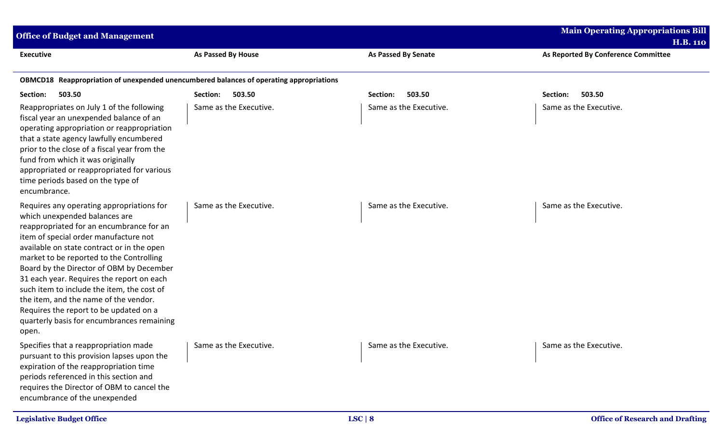| <b>Office of Budget and Management</b>                                                                                                                                                                                                                                                                                                                                                                                                                                                                                                     | <b>Main Operating Appropriations Bill</b><br><b>H.B. 110</b> |                            |                                        |
|--------------------------------------------------------------------------------------------------------------------------------------------------------------------------------------------------------------------------------------------------------------------------------------------------------------------------------------------------------------------------------------------------------------------------------------------------------------------------------------------------------------------------------------------|--------------------------------------------------------------|----------------------------|----------------------------------------|
| <b>Executive</b>                                                                                                                                                                                                                                                                                                                                                                                                                                                                                                                           | As Passed By House                                           | <b>As Passed By Senate</b> | As Reported By Conference Committee    |
| OBMCD18 Reappropriation of unexpended unencumbered balances of operating appropriations                                                                                                                                                                                                                                                                                                                                                                                                                                                    |                                                              |                            |                                        |
| Section:<br>503.50                                                                                                                                                                                                                                                                                                                                                                                                                                                                                                                         | 503.50<br>Section:                                           | 503.50<br>Section:         | 503.50<br>Section:                     |
| Reappropriates on July 1 of the following<br>fiscal year an unexpended balance of an<br>operating appropriation or reappropriation<br>that a state agency lawfully encumbered<br>prior to the close of a fiscal year from the<br>fund from which it was originally<br>appropriated or reappropriated for various<br>time periods based on the type of<br>encumbrance.                                                                                                                                                                      | Same as the Executive.                                       | Same as the Executive.     | Same as the Executive.                 |
| Requires any operating appropriations for<br>which unexpended balances are<br>reappropriated for an encumbrance for an<br>item of special order manufacture not<br>available on state contract or in the open<br>market to be reported to the Controlling<br>Board by the Director of OBM by December<br>31 each year. Requires the report on each<br>such item to include the item, the cost of<br>the item, and the name of the vendor.<br>Requires the report to be updated on a<br>quarterly basis for encumbrances remaining<br>open. | Same as the Executive.                                       | Same as the Executive.     | Same as the Executive.                 |
| Specifies that a reappropriation made<br>pursuant to this provision lapses upon the<br>expiration of the reappropriation time<br>periods referenced in this section and<br>requires the Director of OBM to cancel the<br>encumbrance of the unexpended                                                                                                                                                                                                                                                                                     | Same as the Executive.                                       | Same as the Executive.     | Same as the Executive.                 |
| <b>Legislative Budget Office</b>                                                                                                                                                                                                                                                                                                                                                                                                                                                                                                           |                                                              | LSC   8                    | <b>Office of Research and Drafting</b> |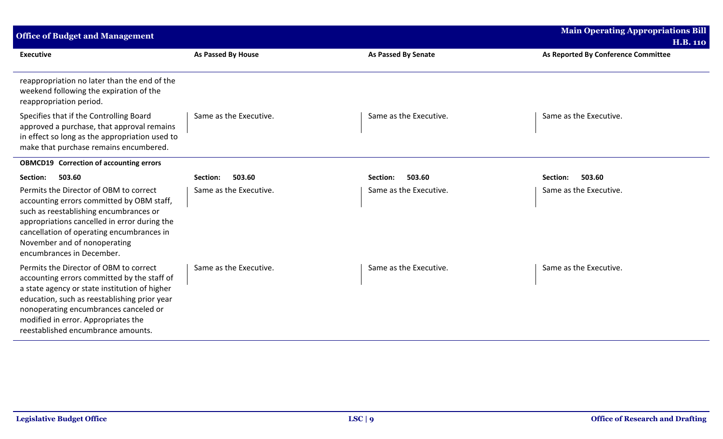| <b>Office of Budget and Management</b>                                                                                                                                                                                                                                                                       |                           |                            | <b>Main Operating Appropriations Bill</b><br><b>H.B. 110</b> |  |  |
|--------------------------------------------------------------------------------------------------------------------------------------------------------------------------------------------------------------------------------------------------------------------------------------------------------------|---------------------------|----------------------------|--------------------------------------------------------------|--|--|
| <b>Executive</b>                                                                                                                                                                                                                                                                                             | <b>As Passed By House</b> | <b>As Passed By Senate</b> | As Reported By Conference Committee                          |  |  |
| reappropriation no later than the end of the<br>weekend following the expiration of the<br>reappropriation period.                                                                                                                                                                                           |                           |                            |                                                              |  |  |
| Specifies that if the Controlling Board<br>approved a purchase, that approval remains<br>in effect so long as the appropriation used to<br>make that purchase remains encumbered.                                                                                                                            | Same as the Executive.    | Same as the Executive.     | Same as the Executive.                                       |  |  |
| <b>OBMCD19</b> Correction of accounting errors                                                                                                                                                                                                                                                               |                           |                            |                                                              |  |  |
| 503.60<br>Section:                                                                                                                                                                                                                                                                                           | 503.60<br>Section:        | 503.60<br>Section:         | 503.60<br>Section:                                           |  |  |
| Permits the Director of OBM to correct<br>accounting errors committed by OBM staff,<br>such as reestablishing encumbrances or<br>appropriations cancelled in error during the<br>cancellation of operating encumbrances in<br>November and of nonoperating<br>encumbrances in December.                      | Same as the Executive.    | Same as the Executive.     | Same as the Executive.                                       |  |  |
| Permits the Director of OBM to correct<br>accounting errors committed by the staff of<br>a state agency or state institution of higher<br>education, such as reestablishing prior year<br>nonoperating encumbrances canceled or<br>modified in error. Appropriates the<br>reestablished encumbrance amounts. | Same as the Executive.    | Same as the Executive.     | Same as the Executive.                                       |  |  |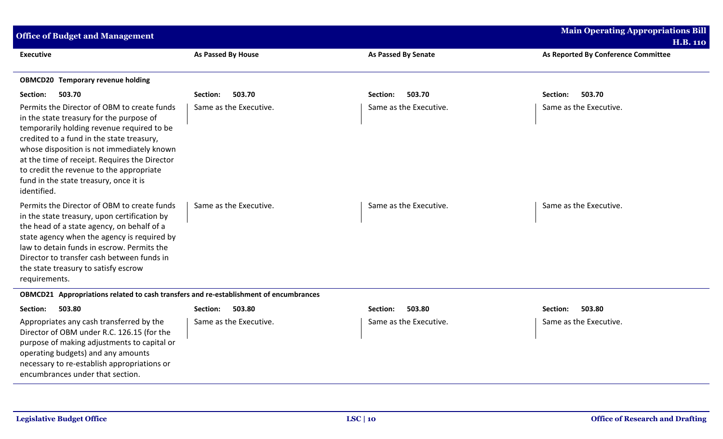| <b>Office of Budget and Management</b>                                                                                                                                                                                                                                                                                                                                                 |                           |                            | <b>Main Operating Appropriations Bill</b><br><b>H.B. 110</b> |
|----------------------------------------------------------------------------------------------------------------------------------------------------------------------------------------------------------------------------------------------------------------------------------------------------------------------------------------------------------------------------------------|---------------------------|----------------------------|--------------------------------------------------------------|
| <b>Executive</b>                                                                                                                                                                                                                                                                                                                                                                       | <b>As Passed By House</b> | <b>As Passed By Senate</b> | As Reported By Conference Committee                          |
| <b>OBMCD20 Temporary revenue holding</b>                                                                                                                                                                                                                                                                                                                                               |                           |                            |                                                              |
| Section:<br>503.70                                                                                                                                                                                                                                                                                                                                                                     | 503.70<br>Section:        | 503.70<br>Section:         | 503.70<br>Section:                                           |
| Permits the Director of OBM to create funds<br>in the state treasury for the purpose of<br>temporarily holding revenue required to be<br>credited to a fund in the state treasury,<br>whose disposition is not immediately known<br>at the time of receipt. Requires the Director<br>to credit the revenue to the appropriate<br>fund in the state treasury, once it is<br>identified. | Same as the Executive.    | Same as the Executive.     | Same as the Executive.                                       |
| Permits the Director of OBM to create funds<br>in the state treasury, upon certification by<br>the head of a state agency, on behalf of a<br>state agency when the agency is required by<br>law to detain funds in escrow. Permits the<br>Director to transfer cash between funds in<br>the state treasury to satisfy escrow<br>requirements.                                          | Same as the Executive.    | Same as the Executive.     | Same as the Executive.                                       |
| OBMCD21 Appropriations related to cash transfers and re-establishment of encumbrances                                                                                                                                                                                                                                                                                                  |                           |                            |                                                              |
| 503.80<br>Section:                                                                                                                                                                                                                                                                                                                                                                     | 503.80<br>Section:        | 503.80<br>Section:         | 503.80<br>Section:                                           |
| Appropriates any cash transferred by the<br>Director of OBM under R.C. 126.15 (for the<br>purpose of making adjustments to capital or<br>operating budgets) and any amounts<br>necessary to re-establish appropriations or<br>encumbrances under that section.                                                                                                                         | Same as the Executive.    | Same as the Executive.     | Same as the Executive.                                       |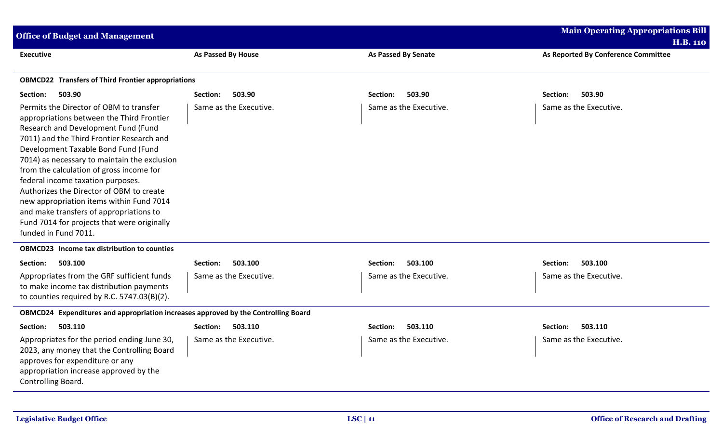| <b>Main Operating Appropriations Bill</b><br><b>Office of Budget and Management</b><br><b>H.B. 110</b>                                                                                                                                                                                                                                                                                                                                                                                                                                                     |                        |                            |                                     |  |  |
|------------------------------------------------------------------------------------------------------------------------------------------------------------------------------------------------------------------------------------------------------------------------------------------------------------------------------------------------------------------------------------------------------------------------------------------------------------------------------------------------------------------------------------------------------------|------------------------|----------------------------|-------------------------------------|--|--|
| <b>Executive</b>                                                                                                                                                                                                                                                                                                                                                                                                                                                                                                                                           | As Passed By House     | <b>As Passed By Senate</b> | As Reported By Conference Committee |  |  |
| <b>OBMCD22 Transfers of Third Frontier appropriations</b>                                                                                                                                                                                                                                                                                                                                                                                                                                                                                                  |                        |                            |                                     |  |  |
| 503.90<br>Section:                                                                                                                                                                                                                                                                                                                                                                                                                                                                                                                                         | 503.90<br>Section:     | 503.90<br>Section:         | 503.90<br>Section:                  |  |  |
| Permits the Director of OBM to transfer<br>appropriations between the Third Frontier<br>Research and Development Fund (Fund<br>7011) and the Third Frontier Research and<br>Development Taxable Bond Fund (Fund<br>7014) as necessary to maintain the exclusion<br>from the calculation of gross income for<br>federal income taxation purposes.<br>Authorizes the Director of OBM to create<br>new appropriation items within Fund 7014<br>and make transfers of appropriations to<br>Fund 7014 for projects that were originally<br>funded in Fund 7011. | Same as the Executive. | Same as the Executive.     | Same as the Executive.              |  |  |
| <b>OBMCD23</b> Income tax distribution to counties                                                                                                                                                                                                                                                                                                                                                                                                                                                                                                         |                        |                            |                                     |  |  |
| 503.100<br>Section:                                                                                                                                                                                                                                                                                                                                                                                                                                                                                                                                        | Section:<br>503.100    | 503.100<br>Section:        | Section:<br>503.100                 |  |  |
| Appropriates from the GRF sufficient funds<br>to make income tax distribution payments<br>to counties required by R.C. 5747.03(B)(2).                                                                                                                                                                                                                                                                                                                                                                                                                      | Same as the Executive. | Same as the Executive.     | Same as the Executive.              |  |  |
| OBMCD24 Expenditures and appropriation increases approved by the Controlling Board                                                                                                                                                                                                                                                                                                                                                                                                                                                                         |                        |                            |                                     |  |  |
| 503.110<br>Section:                                                                                                                                                                                                                                                                                                                                                                                                                                                                                                                                        | 503.110<br>Section:    | 503.110<br>Section:        | 503.110<br>Section:                 |  |  |
| Appropriates for the period ending June 30,<br>2023, any money that the Controlling Board<br>approves for expenditure or any<br>appropriation increase approved by the<br>Controlling Board.                                                                                                                                                                                                                                                                                                                                                               | Same as the Executive. | Same as the Executive.     | Same as the Executive.              |  |  |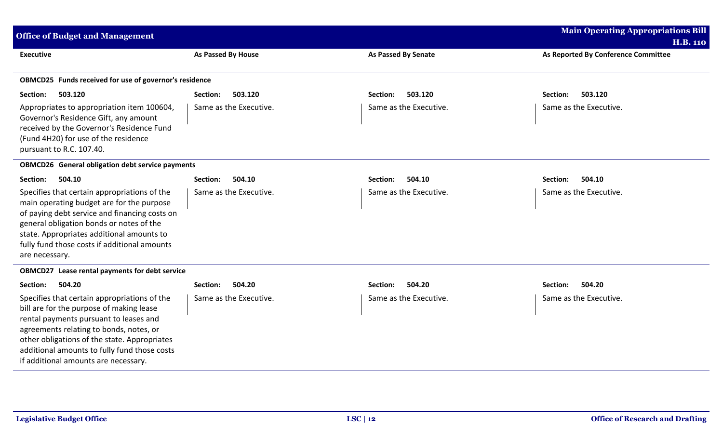| <b>Office of Budget and Management</b>                                                                                                                                                                                                                                                                                |                        |                            | <b>Main Operating Appropriations Bill</b><br><b>H.B. 110</b> |
|-----------------------------------------------------------------------------------------------------------------------------------------------------------------------------------------------------------------------------------------------------------------------------------------------------------------------|------------------------|----------------------------|--------------------------------------------------------------|
| <b>Executive</b>                                                                                                                                                                                                                                                                                                      | As Passed By House     | <b>As Passed By Senate</b> | As Reported By Conference Committee                          |
| OBMCD25 Funds received for use of governor's residence                                                                                                                                                                                                                                                                |                        |                            |                                                              |
| 503.120<br>Section:                                                                                                                                                                                                                                                                                                   | 503.120<br>Section:    | 503.120<br>Section:        | 503.120<br>Section:                                          |
| Appropriates to appropriation item 100604,<br>Governor's Residence Gift, any amount<br>received by the Governor's Residence Fund<br>(Fund 4H20) for use of the residence<br>pursuant to R.C. 107.40.                                                                                                                  | Same as the Executive. | Same as the Executive.     | Same as the Executive.                                       |
| <b>OBMCD26</b> General obligation debt service payments                                                                                                                                                                                                                                                               |                        |                            |                                                              |
| 504.10<br>Section:                                                                                                                                                                                                                                                                                                    | 504.10<br>Section:     | 504.10<br>Section:         | 504.10<br>Section:                                           |
| Specifies that certain appropriations of the<br>main operating budget are for the purpose<br>of paying debt service and financing costs on<br>general obligation bonds or notes of the<br>state. Appropriates additional amounts to<br>fully fund those costs if additional amounts<br>are necessary.                 | Same as the Executive. | Same as the Executive.     | Same as the Executive.                                       |
| OBMCD27 Lease rental payments for debt service                                                                                                                                                                                                                                                                        |                        |                            |                                                              |
| 504.20<br>Section:                                                                                                                                                                                                                                                                                                    | 504.20<br>Section:     | 504.20<br>Section:         | 504.20<br>Section:                                           |
| Specifies that certain appropriations of the<br>bill are for the purpose of making lease<br>rental payments pursuant to leases and<br>agreements relating to bonds, notes, or<br>other obligations of the state. Appropriates<br>additional amounts to fully fund those costs<br>if additional amounts are necessary. | Same as the Executive. | Same as the Executive.     | Same as the Executive.                                       |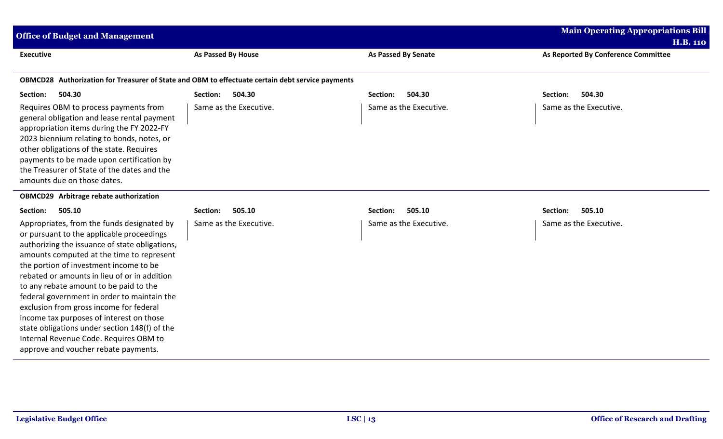| <b>Office of Budget and Management</b>                                                                                                                                                                                                                                                                                                                                                                                                                                                                                                                                                              |                        |                            | <b>Main Operating Appropriations Bill</b><br><b>H.B. 110</b> |
|-----------------------------------------------------------------------------------------------------------------------------------------------------------------------------------------------------------------------------------------------------------------------------------------------------------------------------------------------------------------------------------------------------------------------------------------------------------------------------------------------------------------------------------------------------------------------------------------------------|------------------------|----------------------------|--------------------------------------------------------------|
| <b>Executive</b>                                                                                                                                                                                                                                                                                                                                                                                                                                                                                                                                                                                    | As Passed By House     | <b>As Passed By Senate</b> | As Reported By Conference Committee                          |
| OBMCD28 Authorization for Treasurer of State and OBM to effectuate certain debt service payments                                                                                                                                                                                                                                                                                                                                                                                                                                                                                                    |                        |                            |                                                              |
| 504.30<br>Section:                                                                                                                                                                                                                                                                                                                                                                                                                                                                                                                                                                                  | 504.30<br>Section:     | 504.30<br>Section:         | 504.30<br>Section:                                           |
| Requires OBM to process payments from<br>general obligation and lease rental payment<br>appropriation items during the FY 2022-FY<br>2023 biennium relating to bonds, notes, or<br>other obligations of the state. Requires<br>payments to be made upon certification by<br>the Treasurer of State of the dates and the<br>amounts due on those dates.                                                                                                                                                                                                                                              | Same as the Executive. | Same as the Executive.     | Same as the Executive.                                       |
| OBMCD29 Arbitrage rebate authorization                                                                                                                                                                                                                                                                                                                                                                                                                                                                                                                                                              |                        |                            |                                                              |
| Section:<br>505.10                                                                                                                                                                                                                                                                                                                                                                                                                                                                                                                                                                                  | 505.10<br>Section:     | 505.10<br>Section:         | 505.10<br>Section:                                           |
| Appropriates, from the funds designated by<br>or pursuant to the applicable proceedings<br>authorizing the issuance of state obligations,<br>amounts computed at the time to represent<br>the portion of investment income to be<br>rebated or amounts in lieu of or in addition<br>to any rebate amount to be paid to the<br>federal government in order to maintain the<br>exclusion from gross income for federal<br>income tax purposes of interest on those<br>state obligations under section 148(f) of the<br>Internal Revenue Code. Requires OBM to<br>approve and voucher rebate payments. | Same as the Executive. | Same as the Executive.     | Same as the Executive.                                       |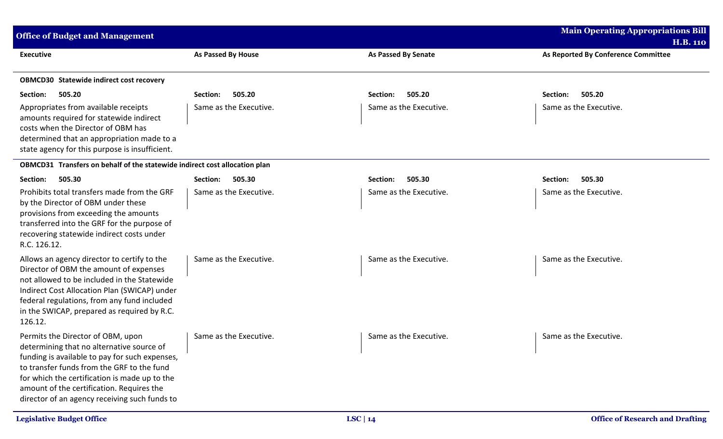| <b>Office of Budget and Management</b>                                                                                                                                                                                                                                                                                        |                           |                            | <b>Main Operating Appropriations Bill</b>              |
|-------------------------------------------------------------------------------------------------------------------------------------------------------------------------------------------------------------------------------------------------------------------------------------------------------------------------------|---------------------------|----------------------------|--------------------------------------------------------|
| <b>Executive</b>                                                                                                                                                                                                                                                                                                              | <b>As Passed By House</b> | <b>As Passed By Senate</b> | <b>H.B. 110</b><br>As Reported By Conference Committee |
| <b>OBMCD30 Statewide indirect cost recovery</b>                                                                                                                                                                                                                                                                               |                           |                            |                                                        |
| 505.20<br>Section:                                                                                                                                                                                                                                                                                                            | 505.20<br>Section:        | 505.20<br>Section:         | 505.20<br>Section:                                     |
| Appropriates from available receipts<br>amounts required for statewide indirect<br>costs when the Director of OBM has<br>determined that an appropriation made to a<br>state agency for this purpose is insufficient.                                                                                                         | Same as the Executive.    | Same as the Executive.     | Same as the Executive.                                 |
| OBMCD31 Transfers on behalf of the statewide indirect cost allocation plan                                                                                                                                                                                                                                                    |                           |                            |                                                        |
| 505.30<br>Section:                                                                                                                                                                                                                                                                                                            | 505.30<br>Section:        | 505.30<br>Section:         | 505.30<br>Section:                                     |
| Prohibits total transfers made from the GRF<br>by the Director of OBM under these<br>provisions from exceeding the amounts<br>transferred into the GRF for the purpose of<br>recovering statewide indirect costs under<br>R.C. 126.12.                                                                                        | Same as the Executive.    | Same as the Executive.     | Same as the Executive.                                 |
| Allows an agency director to certify to the<br>Director of OBM the amount of expenses<br>not allowed to be included in the Statewide<br>Indirect Cost Allocation Plan (SWICAP) under<br>federal regulations, from any fund included<br>in the SWICAP, prepared as required by R.C.<br>126.12.                                 | Same as the Executive.    | Same as the Executive.     | Same as the Executive.                                 |
| Permits the Director of OBM, upon<br>determining that no alternative source of<br>funding is available to pay for such expenses,<br>to transfer funds from the GRF to the fund<br>for which the certification is made up to the<br>amount of the certification. Requires the<br>director of an agency receiving such funds to | Same as the Executive.    | Same as the Executive.     | Same as the Executive.                                 |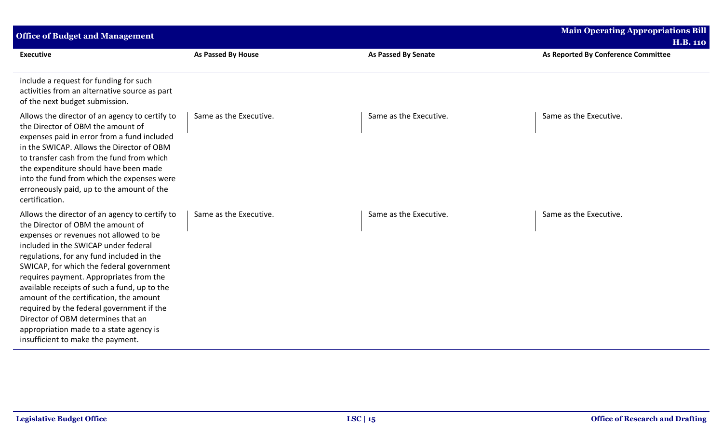| <b>Office of Budget and Management</b>                                                                                                                                                                                                                                                                                                                                                                                                                                                                                                                                  |                        |                            | <b>Main Operating Appropriations Bill</b><br><b>H.B. 110</b> |
|-------------------------------------------------------------------------------------------------------------------------------------------------------------------------------------------------------------------------------------------------------------------------------------------------------------------------------------------------------------------------------------------------------------------------------------------------------------------------------------------------------------------------------------------------------------------------|------------------------|----------------------------|--------------------------------------------------------------|
| <b>Executive</b>                                                                                                                                                                                                                                                                                                                                                                                                                                                                                                                                                        | As Passed By House     | <b>As Passed By Senate</b> | As Reported By Conference Committee                          |
| include a request for funding for such<br>activities from an alternative source as part<br>of the next budget submission.                                                                                                                                                                                                                                                                                                                                                                                                                                               |                        |                            |                                                              |
| Allows the director of an agency to certify to<br>the Director of OBM the amount of<br>expenses paid in error from a fund included<br>in the SWICAP. Allows the Director of OBM<br>to transfer cash from the fund from which<br>the expenditure should have been made<br>into the fund from which the expenses were<br>erroneously paid, up to the amount of the<br>certification.                                                                                                                                                                                      | Same as the Executive. | Same as the Executive.     | Same as the Executive.                                       |
| Allows the director of an agency to certify to<br>the Director of OBM the amount of<br>expenses or revenues not allowed to be<br>included in the SWICAP under federal<br>regulations, for any fund included in the<br>SWICAP, for which the federal government<br>requires payment. Appropriates from the<br>available receipts of such a fund, up to the<br>amount of the certification, the amount<br>required by the federal government if the<br>Director of OBM determines that an<br>appropriation made to a state agency is<br>insufficient to make the payment. | Same as the Executive. | Same as the Executive.     | Same as the Executive.                                       |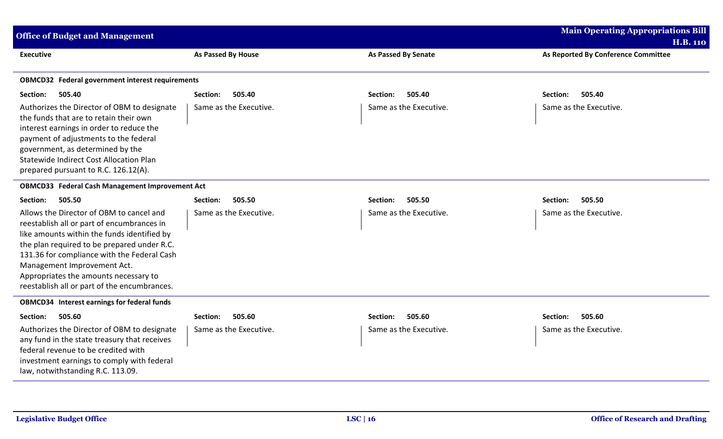| <b>Office of Budget and Management</b>                                                                                                                                                                                                                                                                                                                      |                        |                            | <b>Main Operating Appropriations Bill</b>              |
|-------------------------------------------------------------------------------------------------------------------------------------------------------------------------------------------------------------------------------------------------------------------------------------------------------------------------------------------------------------|------------------------|----------------------------|--------------------------------------------------------|
| <b>Executive</b>                                                                                                                                                                                                                                                                                                                                            | As Passed By House     | <b>As Passed By Senate</b> | <b>H.B. 110</b><br>As Reported By Conference Committee |
|                                                                                                                                                                                                                                                                                                                                                             |                        |                            |                                                        |
| <b>OBMCD32</b> Federal government interest requirements                                                                                                                                                                                                                                                                                                     |                        |                            |                                                        |
| Section:<br>505.40                                                                                                                                                                                                                                                                                                                                          | Section:<br>505.40     | Section:<br>505.40         | Section:<br>505.40                                     |
| Authorizes the Director of OBM to designate<br>the funds that are to retain their own<br>interest earnings in order to reduce the<br>payment of adjustments to the federal<br>government, as determined by the<br>Statewide Indirect Cost Allocation Plan<br>prepared pursuant to R.C. 126.12(A).                                                           | Same as the Executive. | Same as the Executive.     | Same as the Executive.                                 |
| <b>OBMCD33</b> Federal Cash Management Improvement Act                                                                                                                                                                                                                                                                                                      |                        |                            |                                                        |
| 505.50<br>Section:                                                                                                                                                                                                                                                                                                                                          | 505.50<br>Section:     | 505.50<br>Section:         | Section:<br>505.50                                     |
| Allows the Director of OBM to cancel and<br>reestablish all or part of encumbrances in<br>like amounts within the funds identified by<br>the plan required to be prepared under R.C.<br>131.36 for compliance with the Federal Cash<br>Management Improvement Act.<br>Appropriates the amounts necessary to<br>reestablish all or part of the encumbrances. | Same as the Executive. | Same as the Executive.     | Same as the Executive.                                 |
| <b>OBMCD34</b> Interest earnings for federal funds                                                                                                                                                                                                                                                                                                          |                        |                            |                                                        |
| Section:<br>505.60                                                                                                                                                                                                                                                                                                                                          | Section:<br>505.60     | Section:<br>505.60         | Section:<br>505.60                                     |
| Authorizes the Director of OBM to designate<br>any fund in the state treasury that receives<br>federal revenue to be credited with<br>investment earnings to comply with federal<br>law, notwithstanding R.C. 113.09.                                                                                                                                       | Same as the Executive. | Same as the Executive.     | Same as the Executive.                                 |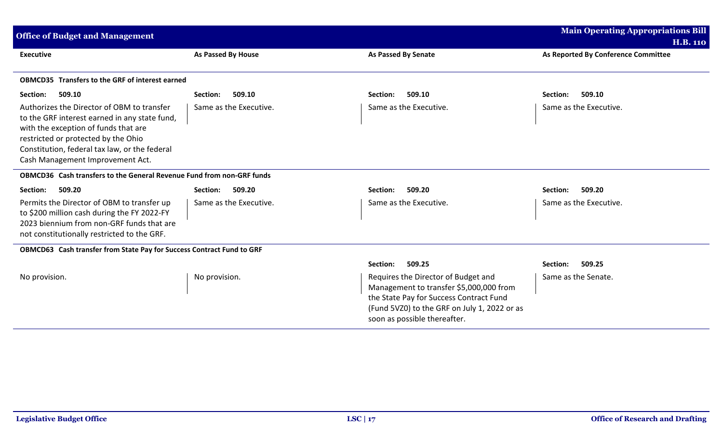| <b>Office of Budget and Management</b>                                                                                                                                                                                                                          |                           |                                                                                                                                                                                                           | <b>Main Operating Appropriations Bill</b> |
|-----------------------------------------------------------------------------------------------------------------------------------------------------------------------------------------------------------------------------------------------------------------|---------------------------|-----------------------------------------------------------------------------------------------------------------------------------------------------------------------------------------------------------|-------------------------------------------|
|                                                                                                                                                                                                                                                                 |                           |                                                                                                                                                                                                           | <b>H.B. 110</b>                           |
| <b>Executive</b>                                                                                                                                                                                                                                                | <b>As Passed By House</b> | <b>As Passed By Senate</b>                                                                                                                                                                                | As Reported By Conference Committee       |
|                                                                                                                                                                                                                                                                 |                           |                                                                                                                                                                                                           |                                           |
| <b>OBMCD35</b> Transfers to the GRF of interest earned                                                                                                                                                                                                          |                           |                                                                                                                                                                                                           |                                           |
| 509.10<br>Section:                                                                                                                                                                                                                                              | 509.10<br>Section:        | 509.10<br>Section:                                                                                                                                                                                        | 509.10<br>Section:                        |
| Authorizes the Director of OBM to transfer<br>to the GRF interest earned in any state fund,<br>with the exception of funds that are<br>restricted or protected by the Ohio<br>Constitution, federal tax law, or the federal<br>Cash Management Improvement Act. | Same as the Executive.    | Same as the Executive.                                                                                                                                                                                    | Same as the Executive.                    |
| OBMCD36 Cash transfers to the General Revenue Fund from non-GRF funds                                                                                                                                                                                           |                           |                                                                                                                                                                                                           |                                           |
| 509.20<br>Section:                                                                                                                                                                                                                                              | 509.20<br>Section:        | 509.20<br>Section:                                                                                                                                                                                        | 509.20<br>Section:                        |
| Permits the Director of OBM to transfer up<br>to \$200 million cash during the FY 2022-FY<br>2023 biennium from non-GRF funds that are<br>not constitutionally restricted to the GRF.                                                                           | Same as the Executive.    | Same as the Executive.                                                                                                                                                                                    | Same as the Executive.                    |
| OBMCD63 Cash transfer from State Pay for Success Contract Fund to GRF                                                                                                                                                                                           |                           |                                                                                                                                                                                                           |                                           |
|                                                                                                                                                                                                                                                                 |                           | Section:<br>509.25                                                                                                                                                                                        | 509.25<br>Section:                        |
| No provision.                                                                                                                                                                                                                                                   | No provision.             | Requires the Director of Budget and<br>Management to transfer \$5,000,000 from<br>the State Pay for Success Contract Fund<br>(Fund 5VZ0) to the GRF on July 1, 2022 or as<br>soon as possible thereafter. | Same as the Senate.                       |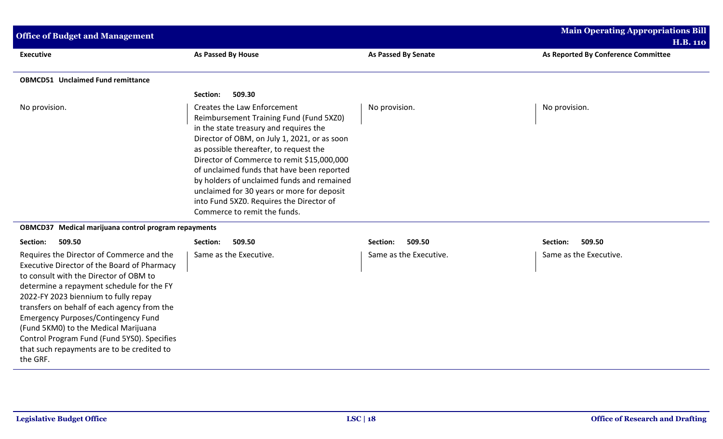| <b>Office of Budget and Management</b>                                                                                                                                          |                                                                                                                                                                                                                                                                                                                                                                                                                                                                                |                            | <b>Main Operating Appropriations Bill</b><br><b>H.B. 110</b> |
|---------------------------------------------------------------------------------------------------------------------------------------------------------------------------------|--------------------------------------------------------------------------------------------------------------------------------------------------------------------------------------------------------------------------------------------------------------------------------------------------------------------------------------------------------------------------------------------------------------------------------------------------------------------------------|----------------------------|--------------------------------------------------------------|
| <b>Executive</b>                                                                                                                                                                | As Passed By House                                                                                                                                                                                                                                                                                                                                                                                                                                                             | <b>As Passed By Senate</b> | As Reported By Conference Committee                          |
| <b>OBMCD51 Unclaimed Fund remittance</b>                                                                                                                                        |                                                                                                                                                                                                                                                                                                                                                                                                                                                                                |                            |                                                              |
|                                                                                                                                                                                 | 509.30<br>Section:                                                                                                                                                                                                                                                                                                                                                                                                                                                             |                            |                                                              |
| No provision.                                                                                                                                                                   | Creates the Law Enforcement<br>Reimbursement Training Fund (Fund 5XZ0)<br>in the state treasury and requires the<br>Director of OBM, on July 1, 2021, or as soon<br>as possible thereafter, to request the<br>Director of Commerce to remit \$15,000,000<br>of unclaimed funds that have been reported<br>by holders of unclaimed funds and remained<br>unclaimed for 30 years or more for deposit<br>into Fund 5XZ0. Requires the Director of<br>Commerce to remit the funds. | No provision.              | No provision.                                                |
| OBMCD37 Medical marijuana control program repayments                                                                                                                            |                                                                                                                                                                                                                                                                                                                                                                                                                                                                                |                            |                                                              |
| Section:<br>509.50                                                                                                                                                              | 509.50<br>Section:                                                                                                                                                                                                                                                                                                                                                                                                                                                             | 509.50<br>Section:         | 509.50<br>Section:                                           |
| Requires the Director of Commerce and the<br>Executive Director of the Board of Pharmacy<br>to consult with the Director of OBM to<br>determine a repayment schedule for the FY | Same as the Executive.                                                                                                                                                                                                                                                                                                                                                                                                                                                         | Same as the Executive.     | Same as the Executive.                                       |

the GRF.

2022-FY 2023 biennium to fully repay transfers on behalf of each agency from the Emergency Purposes/Contingency Fund (Fund 5KM0) to the Medical Marijuana

Control Program Fund (Fund 5YS0). Specifies that such repayments are to be credited to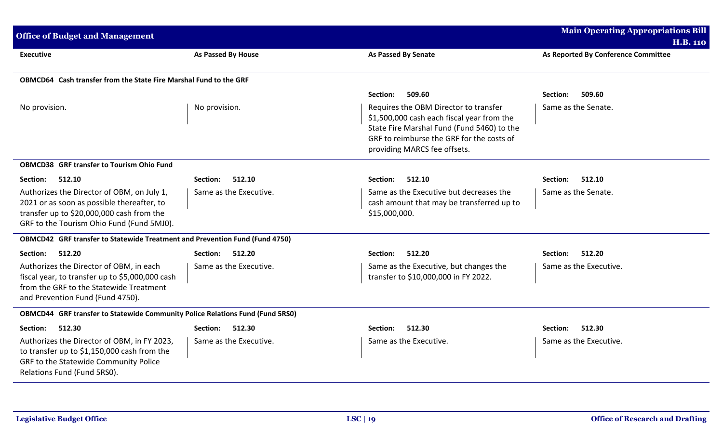| <b>Office of Budget and Management</b>                                                                                                                                             |                           |                                                                                                                                                                                                                | <b>Main Operating Appropriations Bill</b><br><b>H.B. 110</b> |
|------------------------------------------------------------------------------------------------------------------------------------------------------------------------------------|---------------------------|----------------------------------------------------------------------------------------------------------------------------------------------------------------------------------------------------------------|--------------------------------------------------------------|
| <b>Executive</b>                                                                                                                                                                   | <b>As Passed By House</b> | <b>As Passed By Senate</b>                                                                                                                                                                                     | As Reported By Conference Committee                          |
| OBMCD64 Cash transfer from the State Fire Marshal Fund to the GRF                                                                                                                  |                           |                                                                                                                                                                                                                |                                                              |
|                                                                                                                                                                                    |                           | 509.60<br>Section:                                                                                                                                                                                             | 509.60<br>Section:                                           |
| No provision.                                                                                                                                                                      | No provision.             | Requires the OBM Director to transfer<br>\$1,500,000 cash each fiscal year from the<br>State Fire Marshal Fund (Fund 5460) to the<br>GRF to reimburse the GRF for the costs of<br>providing MARCS fee offsets. | Same as the Senate.                                          |
| <b>OBMCD38 GRF transfer to Tourism Ohio Fund</b>                                                                                                                                   |                           |                                                                                                                                                                                                                |                                                              |
| 512.10<br>Section:                                                                                                                                                                 | Section:<br>512.10        | Section:<br>512.10                                                                                                                                                                                             | Section:<br>512.10                                           |
| Authorizes the Director of OBM, on July 1,<br>2021 or as soon as possible thereafter, to<br>transfer up to \$20,000,000 cash from the<br>GRF to the Tourism Ohio Fund (Fund 5MJ0). | Same as the Executive.    | Same as the Executive but decreases the<br>cash amount that may be transferred up to<br>\$15,000,000.                                                                                                          | Same as the Senate.                                          |
| <b>OBMCD42</b> GRF transfer to Statewide Treatment and Prevention Fund (Fund 4750)                                                                                                 |                           |                                                                                                                                                                                                                |                                                              |
| 512.20<br>Section:                                                                                                                                                                 | 512.20<br>Section:        | 512.20<br>Section:                                                                                                                                                                                             | 512.20<br>Section:                                           |
| Authorizes the Director of OBM, in each<br>fiscal year, to transfer up to \$5,000,000 cash<br>from the GRF to the Statewide Treatment<br>and Prevention Fund (Fund 4750).          | Same as the Executive.    | Same as the Executive, but changes the<br>transfer to \$10,000,000 in FY 2022.                                                                                                                                 | Same as the Executive.                                       |
| OBMCD44 GRF transfer to Statewide Community Police Relations Fund (Fund 5RS0)                                                                                                      |                           |                                                                                                                                                                                                                |                                                              |
| Section:<br>512.30                                                                                                                                                                 | <b>Section:</b><br>512.30 | 512.30<br>Section:                                                                                                                                                                                             | 512.30<br>Section:                                           |
| Authorizes the Director of OBM, in FY 2023,<br>to transfer up to \$1,150,000 cash from the<br>GRF to the Statewide Community Police<br>Relations Fund (Fund 5RS0).                 | Same as the Executive.    | Same as the Executive.                                                                                                                                                                                         | Same as the Executive.                                       |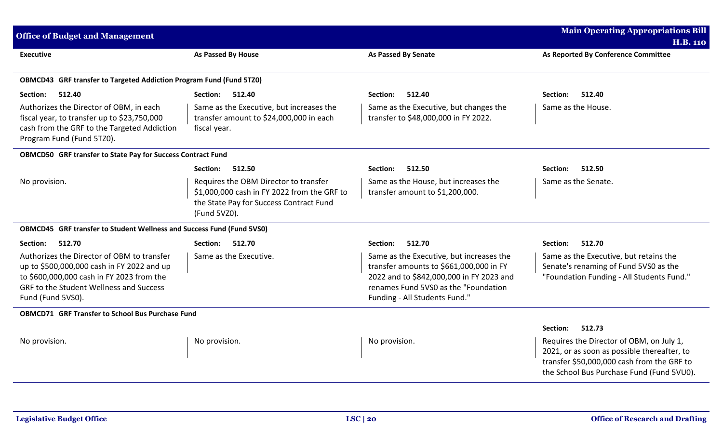| <b>Office of Budget and Management</b>                                                                                                                                                                       |                                                                                                                                                 |                                                                                                                                                                                                          | <b>Main Operating Appropriations Bill</b><br><b>H.B. 110</b>                                                                                                                       |
|--------------------------------------------------------------------------------------------------------------------------------------------------------------------------------------------------------------|-------------------------------------------------------------------------------------------------------------------------------------------------|----------------------------------------------------------------------------------------------------------------------------------------------------------------------------------------------------------|------------------------------------------------------------------------------------------------------------------------------------------------------------------------------------|
| <b>Executive</b>                                                                                                                                                                                             | As Passed By House                                                                                                                              | <b>As Passed By Senate</b>                                                                                                                                                                               | As Reported By Conference Committee                                                                                                                                                |
| <b>OBMCD43</b> GRF transfer to Targeted Addiction Program Fund (Fund 5TZ0)                                                                                                                                   |                                                                                                                                                 |                                                                                                                                                                                                          |                                                                                                                                                                                    |
| 512.40<br>Section:                                                                                                                                                                                           | 512.40<br>Section:                                                                                                                              | 512.40<br>Section:                                                                                                                                                                                       | 512.40<br>Section:                                                                                                                                                                 |
| Authorizes the Director of OBM, in each<br>fiscal year, to transfer up to \$23,750,000<br>cash from the GRF to the Targeted Addiction<br>Program Fund (Fund 5TZ0).                                           | Same as the Executive, but increases the<br>transfer amount to \$24,000,000 in each<br>fiscal year.                                             | Same as the Executive, but changes the<br>transfer to \$48,000,000 in FY 2022.                                                                                                                           | Same as the House.                                                                                                                                                                 |
| OBMCD50 GRF transfer to State Pay for Success Contract Fund                                                                                                                                                  |                                                                                                                                                 |                                                                                                                                                                                                          |                                                                                                                                                                                    |
|                                                                                                                                                                                                              | 512.50<br>Section:                                                                                                                              | 512.50<br>Section:                                                                                                                                                                                       | 512.50<br>Section:                                                                                                                                                                 |
| No provision.                                                                                                                                                                                                | Requires the OBM Director to transfer<br>\$1,000,000 cash in FY 2022 from the GRF to<br>the State Pay for Success Contract Fund<br>(Fund 5VZ0). | Same as the House, but increases the<br>transfer amount to \$1,200,000.                                                                                                                                  | Same as the Senate.                                                                                                                                                                |
| <b>OBMCD45</b> GRF transfer to Student Wellness and Success Fund (Fund 5VS0)                                                                                                                                 |                                                                                                                                                 |                                                                                                                                                                                                          |                                                                                                                                                                                    |
| 512.70<br>Section:                                                                                                                                                                                           | Section: 512.70                                                                                                                                 | Section:<br>512.70                                                                                                                                                                                       | 512.70<br>Section:                                                                                                                                                                 |
| Authorizes the Director of OBM to transfer<br>up to \$500,000,000 cash in FY 2022 and up<br>to \$600,000,000 cash in FY 2023 from the<br><b>GRF to the Student Wellness and Success</b><br>Fund (Fund 5VS0). | Same as the Executive.                                                                                                                          | Same as the Executive, but increases the<br>transfer amounts to \$661,000,000 in FY<br>2022 and to \$842,000,000 in FY 2023 and<br>renames Fund 5VS0 as the "Foundation<br>Funding - All Students Fund." | Same as the Executive, but retains the<br>Senate's renaming of Fund 5VS0 as the<br>"Foundation Funding - All Students Fund."                                                       |
| <b>OBMCD71 GRF Transfer to School Bus Purchase Fund</b>                                                                                                                                                      |                                                                                                                                                 |                                                                                                                                                                                                          |                                                                                                                                                                                    |
|                                                                                                                                                                                                              |                                                                                                                                                 |                                                                                                                                                                                                          | 512.73<br>Section:                                                                                                                                                                 |
| No provision.                                                                                                                                                                                                | No provision.                                                                                                                                   | No provision.                                                                                                                                                                                            | Requires the Director of OBM, on July 1,<br>2021, or as soon as possible thereafter, to<br>transfer \$50,000,000 cash from the GRF to<br>the School Bus Purchase Fund (Fund 5VU0). |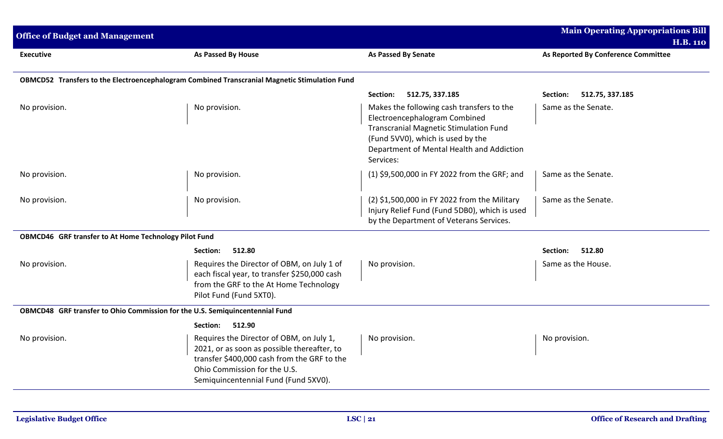| <b>Office of Budget and Management</b>                                       |                                                                                                                                                                                                                |                                                                                                                                                                                                                            | <b>Main Operating Appropriations Bill</b><br><b>H.B. 110</b> |
|------------------------------------------------------------------------------|----------------------------------------------------------------------------------------------------------------------------------------------------------------------------------------------------------------|----------------------------------------------------------------------------------------------------------------------------------------------------------------------------------------------------------------------------|--------------------------------------------------------------|
| <b>Executive</b>                                                             | As Passed By House                                                                                                                                                                                             | <b>As Passed By Senate</b>                                                                                                                                                                                                 | As Reported By Conference Committee                          |
|                                                                              | OBMCD52 Transfers to the Electroencephalogram Combined Transcranial Magnetic Stimulation Fund                                                                                                                  |                                                                                                                                                                                                                            |                                                              |
|                                                                              |                                                                                                                                                                                                                | 512.75, 337.185<br>Section:                                                                                                                                                                                                | Section:<br>512.75, 337.185                                  |
| No provision.                                                                | No provision.                                                                                                                                                                                                  | Makes the following cash transfers to the<br>Electroencephalogram Combined<br><b>Transcranial Magnetic Stimulation Fund</b><br>(Fund 5VV0), which is used by the<br>Department of Mental Health and Addiction<br>Services: | Same as the Senate.                                          |
| No provision.                                                                | No provision.                                                                                                                                                                                                  | (1) \$9,500,000 in FY 2022 from the GRF; and                                                                                                                                                                               | Same as the Senate.                                          |
| No provision.                                                                | No provision.                                                                                                                                                                                                  | (2) \$1,500,000 in FY 2022 from the Military<br>Injury Relief Fund (Fund 5DB0), which is used<br>by the Department of Veterans Services.                                                                                   | Same as the Senate.                                          |
| OBMCD46 GRF transfer to At Home Technology Pilot Fund                        |                                                                                                                                                                                                                |                                                                                                                                                                                                                            |                                                              |
|                                                                              | 512.80<br>Section:                                                                                                                                                                                             |                                                                                                                                                                                                                            | Section:<br>512.80                                           |
| No provision.                                                                | Requires the Director of OBM, on July 1 of<br>each fiscal year, to transfer \$250,000 cash<br>from the GRF to the At Home Technology<br>Pilot Fund (Fund 5XT0).                                                | No provision.                                                                                                                                                                                                              | Same as the House.                                           |
| OBMCD48 GRF transfer to Ohio Commission for the U.S. Semiquincentennial Fund |                                                                                                                                                                                                                |                                                                                                                                                                                                                            |                                                              |
|                                                                              | Section:<br>512.90                                                                                                                                                                                             |                                                                                                                                                                                                                            |                                                              |
| No provision.                                                                | Requires the Director of OBM, on July 1,<br>2021, or as soon as possible thereafter, to<br>transfer \$400,000 cash from the GRF to the<br>Ohio Commission for the U.S.<br>Semiquincentennial Fund (Fund 5XV0). | No provision.                                                                                                                                                                                                              | No provision.                                                |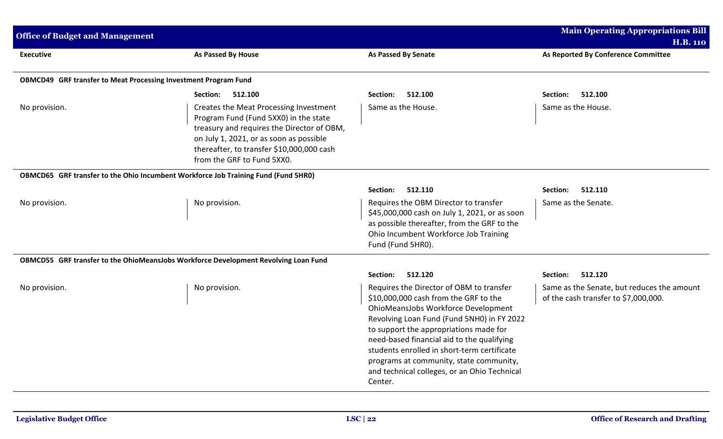| <b>Office of Budget and Management</b>                                              |                                                                                                                                                                                                                                                     |                                                                                                                                                                                                                                                                                                                                                                                                                     | <b>Main Operating Appropriations Bill</b>                                          |
|-------------------------------------------------------------------------------------|-----------------------------------------------------------------------------------------------------------------------------------------------------------------------------------------------------------------------------------------------------|---------------------------------------------------------------------------------------------------------------------------------------------------------------------------------------------------------------------------------------------------------------------------------------------------------------------------------------------------------------------------------------------------------------------|------------------------------------------------------------------------------------|
|                                                                                     |                                                                                                                                                                                                                                                     |                                                                                                                                                                                                                                                                                                                                                                                                                     | <b>H.B. 110</b>                                                                    |
| <b>Executive</b>                                                                    | As Passed By House                                                                                                                                                                                                                                  | <b>As Passed By Senate</b>                                                                                                                                                                                                                                                                                                                                                                                          | As Reported By Conference Committee                                                |
| OBMCD49 GRF transfer to Meat Processing Investment Program Fund                     |                                                                                                                                                                                                                                                     |                                                                                                                                                                                                                                                                                                                                                                                                                     |                                                                                    |
|                                                                                     | Section:<br>512.100                                                                                                                                                                                                                                 | 512.100<br>Section:                                                                                                                                                                                                                                                                                                                                                                                                 | 512.100<br>Section:                                                                |
| No provision.                                                                       | Creates the Meat Processing Investment<br>Program Fund (Fund 5XX0) in the state<br>treasury and requires the Director of OBM,<br>on July 1, 2021, or as soon as possible<br>thereafter, to transfer \$10,000,000 cash<br>from the GRF to Fund 5XX0. | Same as the House.                                                                                                                                                                                                                                                                                                                                                                                                  | Same as the House.                                                                 |
| OBMCD65 GRF transfer to the Ohio Incumbent Workforce Job Training Fund (Fund 5HR0)  |                                                                                                                                                                                                                                                     |                                                                                                                                                                                                                                                                                                                                                                                                                     |                                                                                    |
|                                                                                     |                                                                                                                                                                                                                                                     | 512.110<br>Section:                                                                                                                                                                                                                                                                                                                                                                                                 | 512.110<br>Section:                                                                |
| No provision.                                                                       | No provision.                                                                                                                                                                                                                                       | Requires the OBM Director to transfer<br>\$45,000,000 cash on July 1, 2021, or as soon<br>as possible thereafter, from the GRF to the<br>Ohio Incumbent Workforce Job Training<br>Fund (Fund 5HR0).                                                                                                                                                                                                                 | Same as the Senate.                                                                |
| OBMCD55 GRF transfer to the OhioMeansJobs Workforce Development Revolving Loan Fund |                                                                                                                                                                                                                                                     |                                                                                                                                                                                                                                                                                                                                                                                                                     |                                                                                    |
|                                                                                     |                                                                                                                                                                                                                                                     | 512.120<br>Section:                                                                                                                                                                                                                                                                                                                                                                                                 | 512.120<br>Section:                                                                |
| No provision.                                                                       | No provision.                                                                                                                                                                                                                                       | Requires the Director of OBM to transfer<br>\$10,000,000 cash from the GRF to the<br>OhioMeansJobs Workforce Development<br>Revolving Loan Fund (Fund 5NH0) in FY 2022<br>to support the appropriations made for<br>need-based financial aid to the qualifying<br>students enrolled in short-term certificate<br>programs at community, state community,<br>and technical colleges, or an Ohio Technical<br>Center. | Same as the Senate, but reduces the amount<br>of the cash transfer to \$7,000,000. |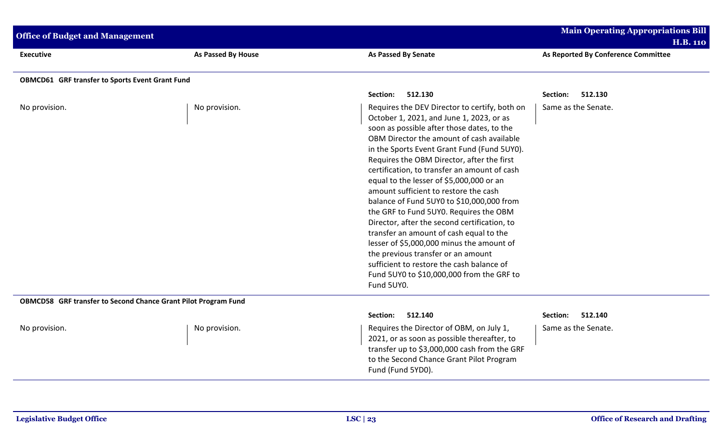| <b>Office of Budget and Management</b>                         |                           |                                                                                                                                                                                                                                                                                                                                                                                                                                                                                                                                                                                                                                                                                                                                                                                                     | <b>Main Operating Appropriations Bill</b><br><b>H.B. 110</b> |
|----------------------------------------------------------------|---------------------------|-----------------------------------------------------------------------------------------------------------------------------------------------------------------------------------------------------------------------------------------------------------------------------------------------------------------------------------------------------------------------------------------------------------------------------------------------------------------------------------------------------------------------------------------------------------------------------------------------------------------------------------------------------------------------------------------------------------------------------------------------------------------------------------------------------|--------------------------------------------------------------|
| <b>Executive</b>                                               | <b>As Passed By House</b> | As Passed By Senate                                                                                                                                                                                                                                                                                                                                                                                                                                                                                                                                                                                                                                                                                                                                                                                 | As Reported By Conference Committee                          |
| <b>OBMCD61 GRF transfer to Sports Event Grant Fund</b>         |                           |                                                                                                                                                                                                                                                                                                                                                                                                                                                                                                                                                                                                                                                                                                                                                                                                     |                                                              |
|                                                                |                           | Section:<br>512.130                                                                                                                                                                                                                                                                                                                                                                                                                                                                                                                                                                                                                                                                                                                                                                                 | Section:<br>512.130                                          |
| No provision.                                                  | No provision.             | Requires the DEV Director to certify, both on<br>October 1, 2021, and June 1, 2023, or as<br>soon as possible after those dates, to the<br>OBM Director the amount of cash available<br>in the Sports Event Grant Fund (Fund 5UY0).<br>Requires the OBM Director, after the first<br>certification, to transfer an amount of cash<br>equal to the lesser of \$5,000,000 or an<br>amount sufficient to restore the cash<br>balance of Fund 5UY0 to \$10,000,000 from<br>the GRF to Fund 5UY0. Requires the OBM<br>Director, after the second certification, to<br>transfer an amount of cash equal to the<br>lesser of \$5,000,000 minus the amount of<br>the previous transfer or an amount<br>sufficient to restore the cash balance of<br>Fund 5UY0 to \$10,000,000 from the GRF to<br>Fund 5UY0. | Same as the Senate.                                          |
| OBMCD58 GRF transfer to Second Chance Grant Pilot Program Fund |                           |                                                                                                                                                                                                                                                                                                                                                                                                                                                                                                                                                                                                                                                                                                                                                                                                     |                                                              |
|                                                                |                           | 512.140<br>Section:                                                                                                                                                                                                                                                                                                                                                                                                                                                                                                                                                                                                                                                                                                                                                                                 | Section:<br>512.140                                          |
| No provision.                                                  | No provision.             | Requires the Director of OBM, on July 1,<br>2021, or as soon as possible thereafter, to<br>transfer up to \$3,000,000 cash from the GRF<br>to the Second Chance Grant Pilot Program<br>Fund (Fund 5YD0).                                                                                                                                                                                                                                                                                                                                                                                                                                                                                                                                                                                            | Same as the Senate.                                          |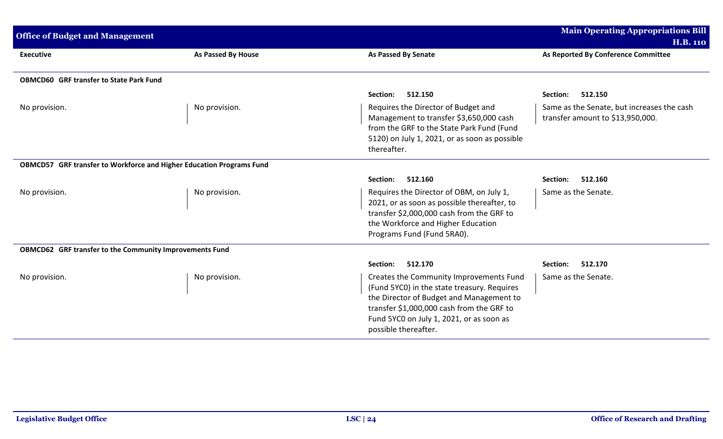| <b>Office of Budget and Management</b>                               |                           |                                                                                                                                                                                                                                                     | <b>Main Operating Appropriations Bill</b><br><b>H.B. 110</b>                   |
|----------------------------------------------------------------------|---------------------------|-----------------------------------------------------------------------------------------------------------------------------------------------------------------------------------------------------------------------------------------------------|--------------------------------------------------------------------------------|
| <b>Executive</b>                                                     | <b>As Passed By House</b> | <b>As Passed By Senate</b>                                                                                                                                                                                                                          | As Reported By Conference Committee                                            |
| <b>OBMCD60 GRF transfer to State Park Fund</b>                       |                           |                                                                                                                                                                                                                                                     |                                                                                |
|                                                                      |                           | 512.150<br>Section:                                                                                                                                                                                                                                 | 512.150<br>Section:                                                            |
| No provision.                                                        | No provision.             | Requires the Director of Budget and<br>Management to transfer \$3,650,000 cash<br>from the GRF to the State Park Fund (Fund<br>5120) on July 1, 2021, or as soon as possible<br>thereafter.                                                         | Same as the Senate, but increases the cash<br>transfer amount to \$13,950,000. |
| OBMCD57 GRF transfer to Workforce and Higher Education Programs Fund |                           |                                                                                                                                                                                                                                                     |                                                                                |
|                                                                      |                           | 512.160<br>Section:                                                                                                                                                                                                                                 | 512.160<br>Section:                                                            |
| No provision.                                                        | No provision.             | Requires the Director of OBM, on July 1,<br>2021, or as soon as possible thereafter, to<br>transfer \$2,000,000 cash from the GRF to<br>the Workforce and Higher Education<br>Programs Fund (Fund 5RA0).                                            | Same as the Senate.                                                            |
| OBMCD62 GRF transfer to the Community Improvements Fund              |                           |                                                                                                                                                                                                                                                     |                                                                                |
|                                                                      |                           | 512.170<br>Section:                                                                                                                                                                                                                                 | 512.170<br>Section:                                                            |
| No provision.                                                        | No provision.             | Creates the Community Improvements Fund<br>(Fund 5YCO) in the state treasury. Requires<br>the Director of Budget and Management to<br>transfer \$1,000,000 cash from the GRF to<br>Fund 5YC0 on July 1, 2021, or as soon as<br>possible thereafter. | Same as the Senate.                                                            |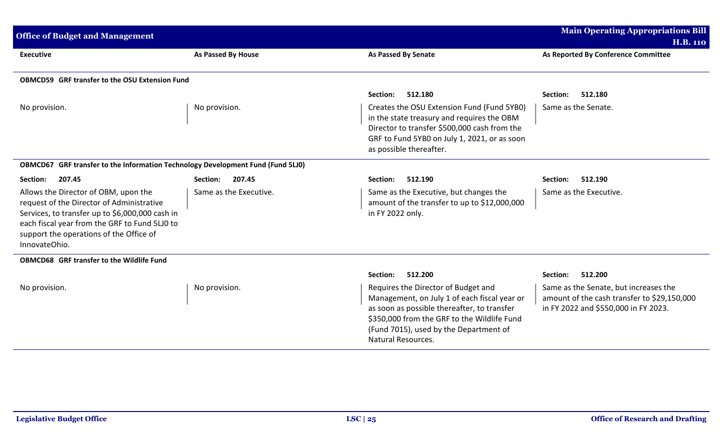| <b>Office of Budget and Management</b>                                                                                                                                                                                                            |                        |                                                                                                                                                                                                                                                   | <b>Main Operating Appropriations Bill</b><br><b>H.B. 110</b>                                                                 |
|---------------------------------------------------------------------------------------------------------------------------------------------------------------------------------------------------------------------------------------------------|------------------------|---------------------------------------------------------------------------------------------------------------------------------------------------------------------------------------------------------------------------------------------------|------------------------------------------------------------------------------------------------------------------------------|
| <b>Executive</b>                                                                                                                                                                                                                                  | As Passed By House     | <b>As Passed By Senate</b>                                                                                                                                                                                                                        | As Reported By Conference Committee                                                                                          |
| <b>OBMCD59 GRF transfer to the OSU Extension Fund</b>                                                                                                                                                                                             |                        |                                                                                                                                                                                                                                                   |                                                                                                                              |
|                                                                                                                                                                                                                                                   |                        | 512.180<br>Section:                                                                                                                                                                                                                               | 512.180<br>Section:                                                                                                          |
| No provision.                                                                                                                                                                                                                                     | No provision.          | Creates the OSU Extension Fund (Fund 5YB0)<br>in the state treasury and requires the OBM<br>Director to transfer \$500,000 cash from the<br>GRF to Fund 5YB0 on July 1, 2021, or as soon<br>as possible thereafter.                               | Same as the Senate.                                                                                                          |
| OBMCD67 GRF transfer to the Information Technology Development Fund (Fund 5LJ0)                                                                                                                                                                   |                        |                                                                                                                                                                                                                                                   |                                                                                                                              |
| Section:<br>207.45                                                                                                                                                                                                                                | 207.45<br>Section:     | 512.190<br>Section:                                                                                                                                                                                                                               | 512.190<br>Section:                                                                                                          |
| Allows the Director of OBM, upon the<br>request of the Director of Administrative<br>Services, to transfer up to \$6,000,000 cash in<br>each fiscal year from the GRF to Fund 5LJ0 to<br>support the operations of the Office of<br>InnovateOhio. | Same as the Executive. | Same as the Executive, but changes the<br>amount of the transfer to up to \$12,000,000<br>in FY 2022 only.                                                                                                                                        | Same as the Executive.                                                                                                       |
| <b>OBMCD68 GRF transfer to the Wildlife Fund</b>                                                                                                                                                                                                  |                        |                                                                                                                                                                                                                                                   |                                                                                                                              |
|                                                                                                                                                                                                                                                   |                        | 512.200<br>Section:                                                                                                                                                                                                                               | 512.200<br>Section:                                                                                                          |
| No provision.                                                                                                                                                                                                                                     | No provision.          | Requires the Director of Budget and<br>Management, on July 1 of each fiscal year or<br>as soon as possible thereafter, to transfer<br>\$350,000 from the GRF to the Wildlife Fund<br>(Fund 7015), used by the Department of<br>Natural Resources. | Same as the Senate, but increases the<br>amount of the cash transfer to \$29,150,000<br>in FY 2022 and \$550,000 in FY 2023. |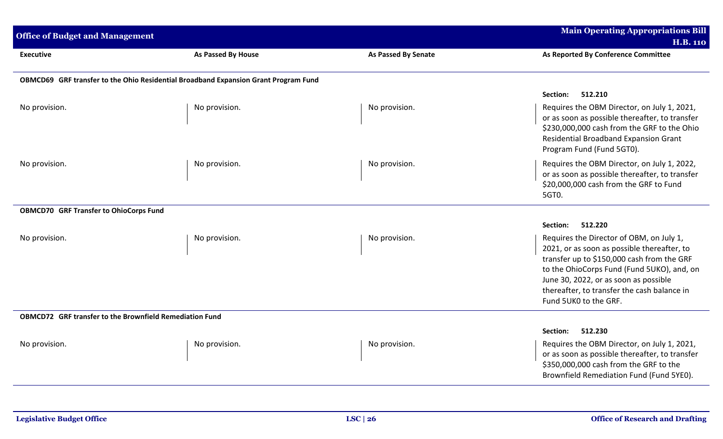| <b>Office of Budget and Management</b>                         |                                                                                     | <b>Main Operating Appropriations Bill</b><br><b>H.B. 110</b> |                                                                                                                                                                                                                                                                                                      |
|----------------------------------------------------------------|-------------------------------------------------------------------------------------|--------------------------------------------------------------|------------------------------------------------------------------------------------------------------------------------------------------------------------------------------------------------------------------------------------------------------------------------------------------------------|
| <b>Executive</b>                                               | <b>As Passed By House</b>                                                           | <b>As Passed By Senate</b>                                   | As Reported By Conference Committee                                                                                                                                                                                                                                                                  |
|                                                                | OBMCD69 GRF transfer to the Ohio Residential Broadband Expansion Grant Program Fund |                                                              |                                                                                                                                                                                                                                                                                                      |
|                                                                |                                                                                     |                                                              | 512.210<br>Section:                                                                                                                                                                                                                                                                                  |
| No provision.                                                  | No provision.                                                                       | No provision.                                                | Requires the OBM Director, on July 1, 2021,<br>or as soon as possible thereafter, to transfer<br>\$230,000,000 cash from the GRF to the Ohio<br>Residential Broadband Expansion Grant<br>Program Fund (Fund 5GT0).                                                                                   |
| No provision.                                                  | No provision.                                                                       | No provision.                                                | Requires the OBM Director, on July 1, 2022,<br>or as soon as possible thereafter, to transfer<br>\$20,000,000 cash from the GRF to Fund<br>5GT0.                                                                                                                                                     |
| <b>OBMCD70 GRF Transfer to OhioCorps Fund</b>                  |                                                                                     |                                                              |                                                                                                                                                                                                                                                                                                      |
|                                                                |                                                                                     |                                                              | 512.220<br>Section:                                                                                                                                                                                                                                                                                  |
| No provision.                                                  | No provision.                                                                       | No provision.                                                | Requires the Director of OBM, on July 1,<br>2021, or as soon as possible thereafter, to<br>transfer up to \$150,000 cash from the GRF<br>to the OhioCorps Fund (Fund 5UKO), and, on<br>June 30, 2022, or as soon as possible<br>thereafter, to transfer the cash balance in<br>Fund 5UK0 to the GRF. |
| <b>OBMCD72</b> GRF transfer to the Brownfield Remediation Fund |                                                                                     |                                                              |                                                                                                                                                                                                                                                                                                      |
|                                                                |                                                                                     |                                                              | 512.230<br>Section:                                                                                                                                                                                                                                                                                  |
| No provision.                                                  | No provision.                                                                       | No provision.                                                | Requires the OBM Director, on July 1, 2021,<br>or as soon as possible thereafter, to transfer<br>\$350,000,000 cash from the GRF to the<br>Brownfield Remediation Fund (Fund 5YE0).                                                                                                                  |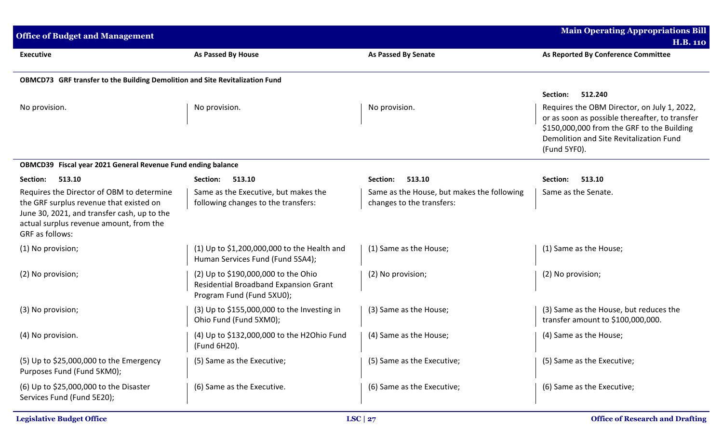| <b>Office of Budget and Management</b>                                                                                                                                                            |                                                                                                           |                                                                         | <b>Main Operating Appropriations Bill</b>                                                                                                                                                              |
|---------------------------------------------------------------------------------------------------------------------------------------------------------------------------------------------------|-----------------------------------------------------------------------------------------------------------|-------------------------------------------------------------------------|--------------------------------------------------------------------------------------------------------------------------------------------------------------------------------------------------------|
|                                                                                                                                                                                                   |                                                                                                           |                                                                         | <b>H.B. 110</b>                                                                                                                                                                                        |
| <b>Executive</b>                                                                                                                                                                                  | As Passed By House                                                                                        | <b>As Passed By Senate</b>                                              | As Reported By Conference Committee                                                                                                                                                                    |
| OBMCD73 GRF transfer to the Building Demolition and Site Revitalization Fund                                                                                                                      |                                                                                                           |                                                                         |                                                                                                                                                                                                        |
|                                                                                                                                                                                                   |                                                                                                           |                                                                         | 512.240<br>Section:                                                                                                                                                                                    |
| No provision.                                                                                                                                                                                     | No provision.                                                                                             | No provision.                                                           | Requires the OBM Director, on July 1, 2022,<br>or as soon as possible thereafter, to transfer<br>\$150,000,000 from the GRF to the Building<br>Demolition and Site Revitalization Fund<br>(Fund 5YFO). |
| OBMCD39 Fiscal year 2021 General Revenue Fund ending balance                                                                                                                                      |                                                                                                           |                                                                         |                                                                                                                                                                                                        |
| 513.10<br>Section:                                                                                                                                                                                | Section:<br>513.10                                                                                        | 513.10<br>Section:                                                      | Section:<br>513.10                                                                                                                                                                                     |
| Requires the Director of OBM to determine<br>the GRF surplus revenue that existed on<br>June 30, 2021, and transfer cash, up to the<br>actual surplus revenue amount, from the<br>GRF as follows: | Same as the Executive, but makes the<br>following changes to the transfers:                               | Same as the House, but makes the following<br>changes to the transfers: | Same as the Senate.                                                                                                                                                                                    |
| (1) No provision;                                                                                                                                                                                 | (1) Up to \$1,200,000,000 to the Health and<br>Human Services Fund (Fund 5SA4);                           | (1) Same as the House;                                                  | (1) Same as the House;                                                                                                                                                                                 |
| (2) No provision;                                                                                                                                                                                 | (2) Up to \$190,000,000 to the Ohio<br>Residential Broadband Expansion Grant<br>Program Fund (Fund 5XU0); | (2) No provision;                                                       | (2) No provision;                                                                                                                                                                                      |
| (3) No provision;                                                                                                                                                                                 | (3) Up to \$155,000,000 to the Investing in<br>Ohio Fund (Fund 5XM0);                                     | (3) Same as the House;                                                  | (3) Same as the House, but reduces the<br>transfer amount to \$100,000,000.                                                                                                                            |
| (4) No provision.                                                                                                                                                                                 | (4) Up to \$132,000,000 to the H2Ohio Fund<br>(Fund 6H20).                                                | (4) Same as the House;                                                  | (4) Same as the House;                                                                                                                                                                                 |
| (5) Up to \$25,000,000 to the Emergency<br>Purposes Fund (Fund 5KM0);                                                                                                                             | (5) Same as the Executive;                                                                                | (5) Same as the Executive;                                              | (5) Same as the Executive;                                                                                                                                                                             |
| (6) Up to \$25,000,000 to the Disaster<br>Services Fund (Fund 5E20);                                                                                                                              | (6) Same as the Executive.                                                                                | (6) Same as the Executive;                                              | (6) Same as the Executive;                                                                                                                                                                             |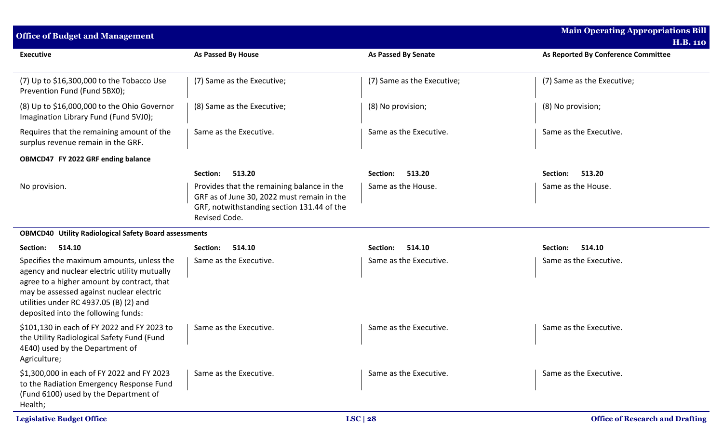| <b>Office of Budget and Management</b>                                                                                                                                                                                                                               |                                                                                                                                                         |                            | <b>Main Operating Appropriations Bill</b><br><b>H.B. 110</b> |
|----------------------------------------------------------------------------------------------------------------------------------------------------------------------------------------------------------------------------------------------------------------------|---------------------------------------------------------------------------------------------------------------------------------------------------------|----------------------------|--------------------------------------------------------------|
| <b>Executive</b>                                                                                                                                                                                                                                                     | As Passed By House                                                                                                                                      | <b>As Passed By Senate</b> | As Reported By Conference Committee                          |
| $(7)$ Up to \$16,300,000 to the Tobacco Use<br>Prevention Fund (Fund 5BX0);                                                                                                                                                                                          | (7) Same as the Executive;                                                                                                                              | (7) Same as the Executive; | (7) Same as the Executive;                                   |
| (8) Up to \$16,000,000 to the Ohio Governor<br>Imagination Library Fund (Fund 5VJ0);                                                                                                                                                                                 | (8) Same as the Executive;                                                                                                                              | (8) No provision;          | (8) No provision;                                            |
| Requires that the remaining amount of the<br>surplus revenue remain in the GRF.                                                                                                                                                                                      | Same as the Executive.                                                                                                                                  | Same as the Executive.     | Same as the Executive.                                       |
| OBMCD47 FY 2022 GRF ending balance                                                                                                                                                                                                                                   |                                                                                                                                                         |                            |                                                              |
|                                                                                                                                                                                                                                                                      | 513.20<br>Section:                                                                                                                                      | 513.20<br>Section:         | 513.20<br>Section:                                           |
| No provision.                                                                                                                                                                                                                                                        | Provides that the remaining balance in the<br>GRF as of June 30, 2022 must remain in the<br>GRF, notwithstanding section 131.44 of the<br>Revised Code. | Same as the House.         | Same as the House.                                           |
| <b>OBMCD40 Utility Radiological Safety Board assessments</b>                                                                                                                                                                                                         |                                                                                                                                                         |                            |                                                              |
| Section:<br>514.10                                                                                                                                                                                                                                                   | Section:<br>514.10                                                                                                                                      | 514.10<br>Section:         | Section:<br>514.10                                           |
| Specifies the maximum amounts, unless the<br>agency and nuclear electric utility mutually<br>agree to a higher amount by contract, that<br>may be assessed against nuclear electric<br>utilities under RC 4937.05 (B) (2) and<br>deposited into the following funds: | Same as the Executive.                                                                                                                                  | Same as the Executive.     | Same as the Executive.                                       |
| \$101,130 in each of FY 2022 and FY 2023 to<br>the Utility Radiological Safety Fund (Fund<br>4E40) used by the Department of<br>Agriculture;                                                                                                                         | Same as the Executive.                                                                                                                                  | Same as the Executive.     | Same as the Executive.                                       |
| \$1,300,000 in each of FY 2022 and FY 2023<br>to the Radiation Emergency Response Fund<br>(Fund 6100) used by the Department of<br>Health;                                                                                                                           | Same as the Executive.                                                                                                                                  | Same as the Executive.     | Same as the Executive.                                       |
| <b>Legislative Budget Office</b>                                                                                                                                                                                                                                     |                                                                                                                                                         | LSC $ 28$                  | <b>Office of Research and Drafting</b>                       |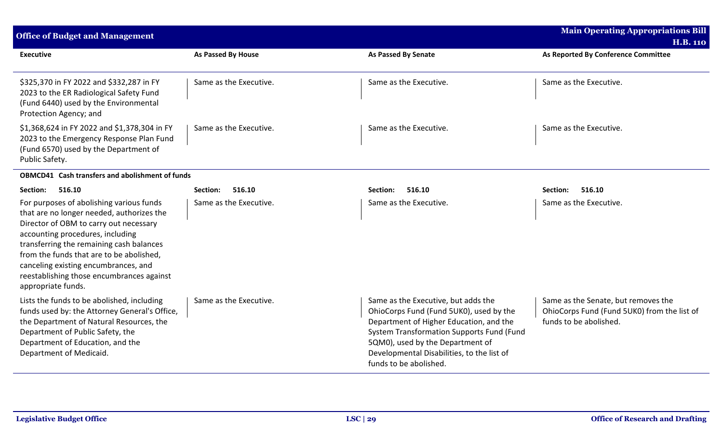| <b>Office of Budget and Management</b>                                                                                                                                                                                                                                                                                                                                 |                           |                                                                                                                                                                                                                                                                                    | <b>Main Operating Appropriations Bill</b><br><b>H.B. 110</b>                                                 |
|------------------------------------------------------------------------------------------------------------------------------------------------------------------------------------------------------------------------------------------------------------------------------------------------------------------------------------------------------------------------|---------------------------|------------------------------------------------------------------------------------------------------------------------------------------------------------------------------------------------------------------------------------------------------------------------------------|--------------------------------------------------------------------------------------------------------------|
| <b>Executive</b>                                                                                                                                                                                                                                                                                                                                                       | <b>As Passed By House</b> | <b>As Passed By Senate</b>                                                                                                                                                                                                                                                         | As Reported By Conference Committee                                                                          |
| \$325,370 in FY 2022 and \$332,287 in FY<br>2023 to the ER Radiological Safety Fund<br>(Fund 6440) used by the Environmental<br>Protection Agency; and                                                                                                                                                                                                                 | Same as the Executive.    | Same as the Executive.                                                                                                                                                                                                                                                             | Same as the Executive.                                                                                       |
| \$1,368,624 in FY 2022 and \$1,378,304 in FY<br>2023 to the Emergency Response Plan Fund<br>(Fund 6570) used by the Department of<br>Public Safety.                                                                                                                                                                                                                    | Same as the Executive.    | Same as the Executive.                                                                                                                                                                                                                                                             | Same as the Executive.                                                                                       |
| <b>OBMCD41</b> Cash transfers and abolishment of funds                                                                                                                                                                                                                                                                                                                 |                           |                                                                                                                                                                                                                                                                                    |                                                                                                              |
| Section:<br>516.10                                                                                                                                                                                                                                                                                                                                                     | Section:<br>516.10        | 516.10<br>Section:                                                                                                                                                                                                                                                                 | Section:<br>516.10                                                                                           |
| For purposes of abolishing various funds<br>that are no longer needed, authorizes the<br>Director of OBM to carry out necessary<br>accounting procedures, including<br>transferring the remaining cash balances<br>from the funds that are to be abolished,<br>canceling existing encumbrances, and<br>reestablishing those encumbrances against<br>appropriate funds. | Same as the Executive.    | Same as the Executive.                                                                                                                                                                                                                                                             | Same as the Executive.                                                                                       |
| Lists the funds to be abolished, including<br>funds used by: the Attorney General's Office,<br>the Department of Natural Resources, the<br>Department of Public Safety, the<br>Department of Education, and the<br>Department of Medicaid.                                                                                                                             | Same as the Executive.    | Same as the Executive, but adds the<br>OhioCorps Fund (Fund 5UK0), used by the<br>Department of Higher Education, and the<br>System Transformation Supports Fund (Fund<br>5QM0), used by the Department of<br>Developmental Disabilities, to the list of<br>funds to be abolished. | Same as the Senate, but removes the<br>OhioCorps Fund (Fund 5UK0) from the list of<br>funds to be abolished. |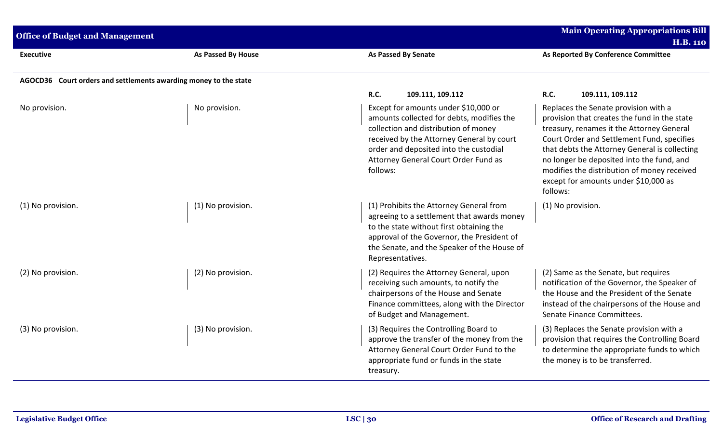| <b>Office of Budget and Management</b> |                                                                  |                                                                                                                                                                                                                                                                      | <b>Main Operating Appropriations Bill</b><br><b>H.B. 110</b>                                                                                                                                                                                                                                                                                                                     |
|----------------------------------------|------------------------------------------------------------------|----------------------------------------------------------------------------------------------------------------------------------------------------------------------------------------------------------------------------------------------------------------------|----------------------------------------------------------------------------------------------------------------------------------------------------------------------------------------------------------------------------------------------------------------------------------------------------------------------------------------------------------------------------------|
| <b>Executive</b>                       | As Passed By House                                               | <b>As Passed By Senate</b>                                                                                                                                                                                                                                           | As Reported By Conference Committee                                                                                                                                                                                                                                                                                                                                              |
|                                        | AGOCD36 Court orders and settlements awarding money to the state |                                                                                                                                                                                                                                                                      |                                                                                                                                                                                                                                                                                                                                                                                  |
|                                        |                                                                  | <b>R.C.</b><br>109.111, 109.112                                                                                                                                                                                                                                      | <b>R.C.</b><br>109.111, 109.112                                                                                                                                                                                                                                                                                                                                                  |
| No provision.                          | No provision.                                                    | Except for amounts under \$10,000 or<br>amounts collected for debts, modifies the<br>collection and distribution of money<br>received by the Attorney General by court<br>order and deposited into the custodial<br>Attorney General Court Order Fund as<br>follows: | Replaces the Senate provision with a<br>provision that creates the fund in the state<br>treasury, renames it the Attorney General<br>Court Order and Settlement Fund, specifies<br>that debts the Attorney General is collecting<br>no longer be deposited into the fund, and<br>modifies the distribution of money received<br>except for amounts under \$10,000 as<br>follows: |
| (1) No provision.                      | (1) No provision.                                                | (1) Prohibits the Attorney General from<br>agreeing to a settlement that awards money<br>to the state without first obtaining the<br>approval of the Governor, the President of<br>the Senate, and the Speaker of the House of<br>Representatives.                   | (1) No provision.                                                                                                                                                                                                                                                                                                                                                                |
| (2) No provision.                      | (2) No provision.                                                | (2) Requires the Attorney General, upon<br>receiving such amounts, to notify the<br>chairpersons of the House and Senate<br>Finance committees, along with the Director<br>of Budget and Management.                                                                 | (2) Same as the Senate, but requires<br>notification of the Governor, the Speaker of<br>the House and the President of the Senate<br>instead of the chairpersons of the House and<br>Senate Finance Committees.                                                                                                                                                                  |
| (3) No provision.                      | (3) No provision.                                                | (3) Requires the Controlling Board to<br>approve the transfer of the money from the<br>Attorney General Court Order Fund to the<br>appropriate fund or funds in the state<br>treasury.                                                                               | (3) Replaces the Senate provision with a<br>provision that requires the Controlling Board<br>to determine the appropriate funds to which<br>the money is to be transferred.                                                                                                                                                                                                      |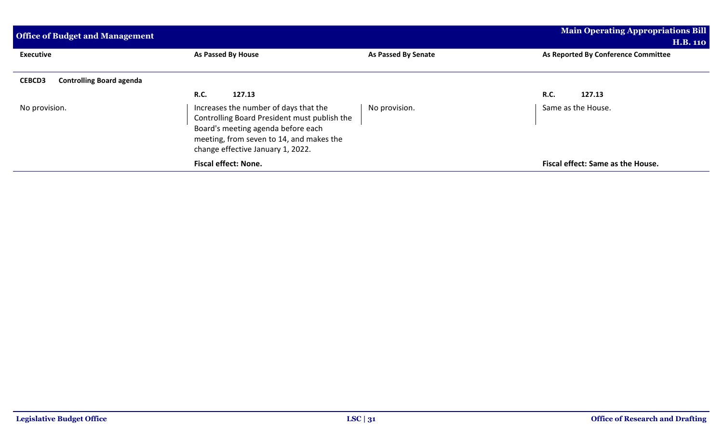| <b>Office of Budget and Management</b>           |                                                                                                                                                                                                              |                     | <b>Main Operating Appropriations Bill</b> |
|--------------------------------------------------|--------------------------------------------------------------------------------------------------------------------------------------------------------------------------------------------------------------|---------------------|-------------------------------------------|
|                                                  |                                                                                                                                                                                                              |                     | <b>H.B. 110</b>                           |
| <b>Executive</b>                                 | As Passed By House                                                                                                                                                                                           | As Passed By Senate | As Reported By Conference Committee       |
| <b>Controlling Board agenda</b><br><b>CEBCD3</b> |                                                                                                                                                                                                              |                     |                                           |
|                                                  | <b>R.C.</b><br>127.13                                                                                                                                                                                        |                     | <b>R.C.</b><br>127.13                     |
| No provision.                                    | Increases the number of days that the<br>Controlling Board President must publish the<br>Board's meeting agenda before each<br>meeting, from seven to 14, and makes the<br>change effective January 1, 2022. | No provision.       | Same as the House.                        |
|                                                  | <b>Fiscal effect: None.</b>                                                                                                                                                                                  |                     | Fiscal effect: Same as the House.         |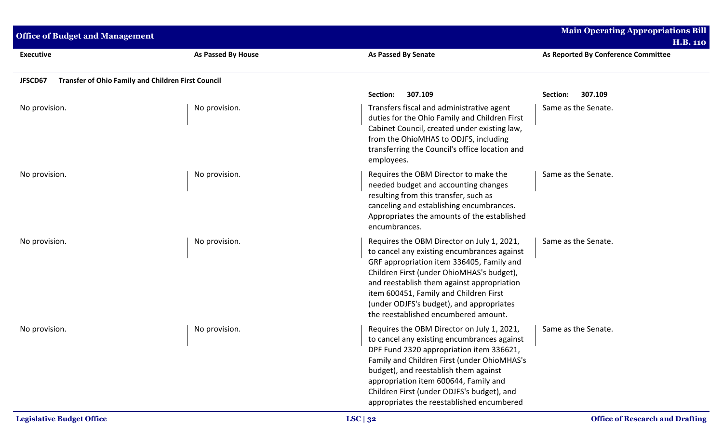| <b>Office of Budget and Management</b>                               |                           |                                                                                                                                                                                                                                                                                                                                                                   | <b>Main Operating Appropriations Bill</b><br><b>H.B. 110</b> |
|----------------------------------------------------------------------|---------------------------|-------------------------------------------------------------------------------------------------------------------------------------------------------------------------------------------------------------------------------------------------------------------------------------------------------------------------------------------------------------------|--------------------------------------------------------------|
| <b>Executive</b>                                                     | <b>As Passed By House</b> | <b>As Passed By Senate</b>                                                                                                                                                                                                                                                                                                                                        | As Reported By Conference Committee                          |
| JFSCD67<br><b>Transfer of Ohio Family and Children First Council</b> |                           |                                                                                                                                                                                                                                                                                                                                                                   |                                                              |
|                                                                      |                           | 307.109<br>Section:                                                                                                                                                                                                                                                                                                                                               | 307.109<br>Section:                                          |
| No provision.                                                        | No provision.             | Transfers fiscal and administrative agent<br>duties for the Ohio Family and Children First<br>Cabinet Council, created under existing law,<br>from the OhioMHAS to ODJFS, including<br>transferring the Council's office location and<br>employees.                                                                                                               | Same as the Senate.                                          |
| No provision.                                                        | No provision.             | Requires the OBM Director to make the<br>needed budget and accounting changes<br>resulting from this transfer, such as<br>canceling and establishing encumbrances.<br>Appropriates the amounts of the established<br>encumbrances.                                                                                                                                | Same as the Senate.                                          |
| No provision.                                                        | No provision.             | Requires the OBM Director on July 1, 2021,<br>to cancel any existing encumbrances against<br>GRF appropriation item 336405, Family and<br>Children First (under OhioMHAS's budget),<br>and reestablish them against appropriation<br>item 600451, Family and Children First<br>(under ODJFS's budget), and appropriates<br>the reestablished encumbered amount.   | Same as the Senate.                                          |
| No provision.                                                        | No provision.             | Requires the OBM Director on July 1, 2021,<br>to cancel any existing encumbrances against<br>DPF Fund 2320 appropriation item 336621,<br>Family and Children First (under OhioMHAS's<br>budget), and reestablish them against<br>appropriation item 600644, Family and<br>Children First (under ODJFS's budget), and<br>appropriates the reestablished encumbered | Same as the Senate.                                          |
| <b>Legislative Budget Office</b>                                     |                           | LSC $ 32$                                                                                                                                                                                                                                                                                                                                                         | <b>Office of Research and Drafting</b>                       |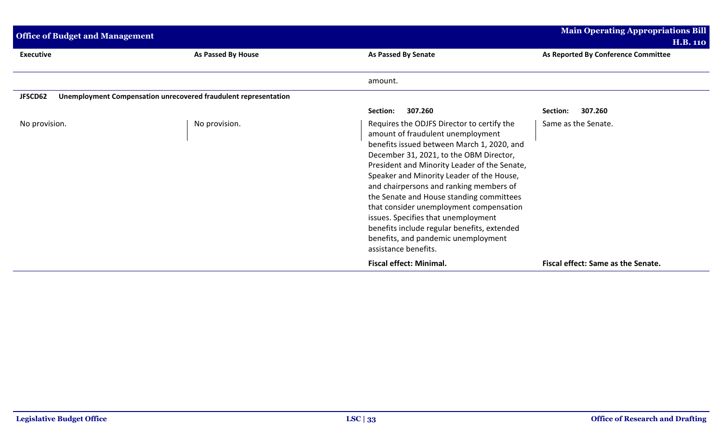| <b>Office of Budget and Management</b>                                     |                    |                                                                                                                                                                                                                                                                                                                                                                                                                                                                                                                                                              | <b>Main Operating Appropriations Bill</b><br><b>H.B. 110</b> |
|----------------------------------------------------------------------------|--------------------|--------------------------------------------------------------------------------------------------------------------------------------------------------------------------------------------------------------------------------------------------------------------------------------------------------------------------------------------------------------------------------------------------------------------------------------------------------------------------------------------------------------------------------------------------------------|--------------------------------------------------------------|
| <b>Executive</b>                                                           | As Passed By House | As Passed By Senate                                                                                                                                                                                                                                                                                                                                                                                                                                                                                                                                          | As Reported By Conference Committee                          |
|                                                                            |                    | amount.                                                                                                                                                                                                                                                                                                                                                                                                                                                                                                                                                      |                                                              |
| Unemployment Compensation unrecovered fraudulent representation<br>JFSCD62 |                    |                                                                                                                                                                                                                                                                                                                                                                                                                                                                                                                                                              |                                                              |
|                                                                            |                    | 307.260<br>Section:                                                                                                                                                                                                                                                                                                                                                                                                                                                                                                                                          | 307.260<br>Section:                                          |
| No provision.                                                              | No provision.      | Requires the ODJFS Director to certify the<br>amount of fraudulent unemployment<br>benefits issued between March 1, 2020, and<br>December 31, 2021, to the OBM Director,<br>President and Minority Leader of the Senate,<br>Speaker and Minority Leader of the House,<br>and chairpersons and ranking members of<br>the Senate and House standing committees<br>that consider unemployment compensation<br>issues. Specifies that unemployment<br>benefits include regular benefits, extended<br>benefits, and pandemic unemployment<br>assistance benefits. | Same as the Senate.                                          |
|                                                                            |                    | <b>Fiscal effect: Minimal.</b>                                                                                                                                                                                                                                                                                                                                                                                                                                                                                                                               | Fiscal effect: Same as the Senate.                           |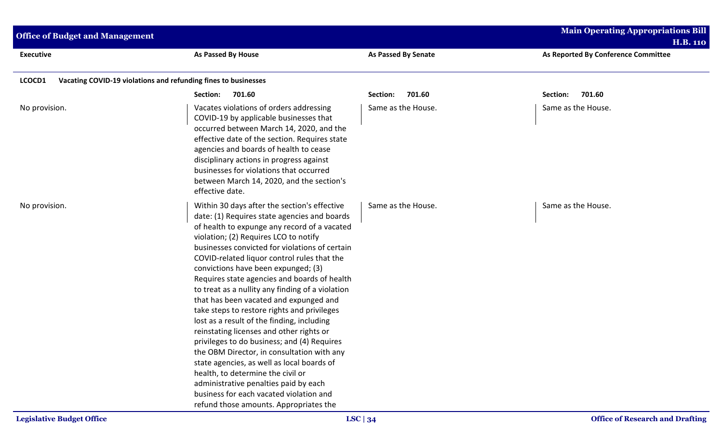| <b>Office of Budget and Management</b> |                                                                                                                                                                                                                                                                                                                                                                                                                                                                                                                                                                                                                                                                                                                                                                                                                                                                                                                                    |                            | <b>Main Operating Appropriations Bill</b><br><b>H.B. 110</b> |  |
|----------------------------------------|------------------------------------------------------------------------------------------------------------------------------------------------------------------------------------------------------------------------------------------------------------------------------------------------------------------------------------------------------------------------------------------------------------------------------------------------------------------------------------------------------------------------------------------------------------------------------------------------------------------------------------------------------------------------------------------------------------------------------------------------------------------------------------------------------------------------------------------------------------------------------------------------------------------------------------|----------------------------|--------------------------------------------------------------|--|
| <b>Executive</b>                       | <b>As Passed By House</b>                                                                                                                                                                                                                                                                                                                                                                                                                                                                                                                                                                                                                                                                                                                                                                                                                                                                                                          | <b>As Passed By Senate</b> | As Reported By Conference Committee                          |  |
| LCOCD1                                 | Vacating COVID-19 violations and refunding fines to businesses                                                                                                                                                                                                                                                                                                                                                                                                                                                                                                                                                                                                                                                                                                                                                                                                                                                                     |                            |                                                              |  |
|                                        | 701.60<br>Section:                                                                                                                                                                                                                                                                                                                                                                                                                                                                                                                                                                                                                                                                                                                                                                                                                                                                                                                 | 701.60<br>Section:         | Section:<br>701.60                                           |  |
| No provision.                          | Vacates violations of orders addressing<br>COVID-19 by applicable businesses that<br>occurred between March 14, 2020, and the<br>effective date of the section. Requires state<br>agencies and boards of health to cease<br>disciplinary actions in progress against<br>businesses for violations that occurred<br>between March 14, 2020, and the section's<br>effective date.                                                                                                                                                                                                                                                                                                                                                                                                                                                                                                                                                    | Same as the House.         | Same as the House.                                           |  |
| No provision.                          | Within 30 days after the section's effective<br>date: (1) Requires state agencies and boards<br>of health to expunge any record of a vacated<br>violation; (2) Requires LCO to notify<br>businesses convicted for violations of certain<br>COVID-related liquor control rules that the<br>convictions have been expunged; (3)<br>Requires state agencies and boards of health<br>to treat as a nullity any finding of a violation<br>that has been vacated and expunged and<br>take steps to restore rights and privileges<br>lost as a result of the finding, including<br>reinstating licenses and other rights or<br>privileges to do business; and (4) Requires<br>the OBM Director, in consultation with any<br>state agencies, as well as local boards of<br>health, to determine the civil or<br>administrative penalties paid by each<br>business for each vacated violation and<br>refund those amounts. Appropriates the | Same as the House.         | Same as the House.                                           |  |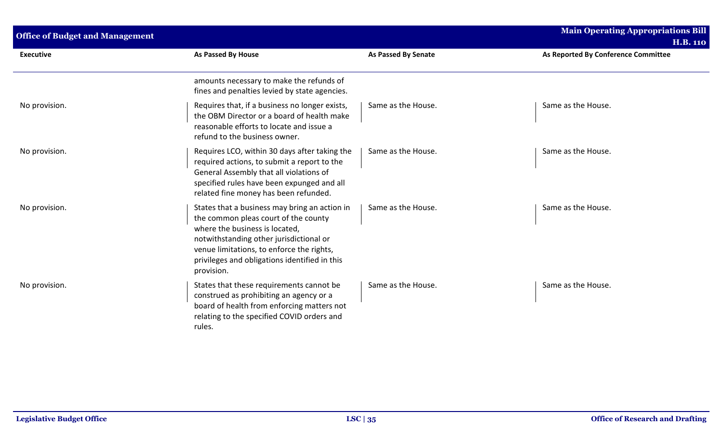| <b>Office of Budget and Management</b> |                                                                                                                                                                                                                                                                                |                            | <b>Main Operating Appropriations Bill</b><br><b>H.B. 110</b> |
|----------------------------------------|--------------------------------------------------------------------------------------------------------------------------------------------------------------------------------------------------------------------------------------------------------------------------------|----------------------------|--------------------------------------------------------------|
| <b>Executive</b>                       | As Passed By House                                                                                                                                                                                                                                                             | <b>As Passed By Senate</b> | As Reported By Conference Committee                          |
|                                        | amounts necessary to make the refunds of<br>fines and penalties levied by state agencies.                                                                                                                                                                                      |                            |                                                              |
| No provision.                          | Requires that, if a business no longer exists,<br>the OBM Director or a board of health make<br>reasonable efforts to locate and issue a<br>refund to the business owner.                                                                                                      | Same as the House.         | Same as the House.                                           |
| No provision.                          | Requires LCO, within 30 days after taking the<br>required actions, to submit a report to the<br>General Assembly that all violations of<br>specified rules have been expunged and all<br>related fine money has been refunded.                                                 | Same as the House.         | Same as the House.                                           |
| No provision.                          | States that a business may bring an action in<br>the common pleas court of the county<br>where the business is located,<br>notwithstanding other jurisdictional or<br>venue limitations, to enforce the rights,<br>privileges and obligations identified in this<br>provision. | Same as the House.         | Same as the House.                                           |
| No provision.                          | States that these requirements cannot be<br>construed as prohibiting an agency or a<br>board of health from enforcing matters not<br>relating to the specified COVID orders and<br>rules.                                                                                      | Same as the House.         | Same as the House.                                           |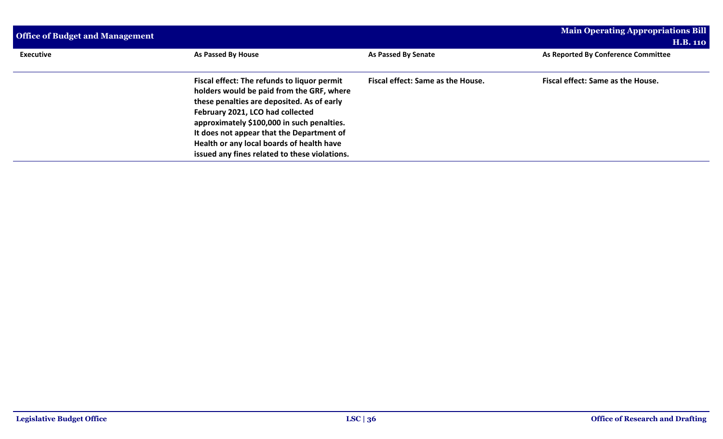| <b>Office of Budget and Management</b> |                                                                                                                                                                                                                                                                                                                                                                     |                                          | <b>Main Operating Appropriations Bill</b><br><b>H.B. 110</b> |
|----------------------------------------|---------------------------------------------------------------------------------------------------------------------------------------------------------------------------------------------------------------------------------------------------------------------------------------------------------------------------------------------------------------------|------------------------------------------|--------------------------------------------------------------|
| <b>Executive</b>                       | As Passed By House                                                                                                                                                                                                                                                                                                                                                  | <b>As Passed By Senate</b>               | As Reported By Conference Committee                          |
|                                        | Fiscal effect: The refunds to liquor permit<br>holders would be paid from the GRF, where<br>these penalties are deposited. As of early<br>February 2021, LCO had collected<br>approximately \$100,000 in such penalties.<br>It does not appear that the Department of<br>Health or any local boards of health have<br>issued any fines related to these violations. | <b>Fiscal effect: Same as the House.</b> | Fiscal effect: Same as the House.                            |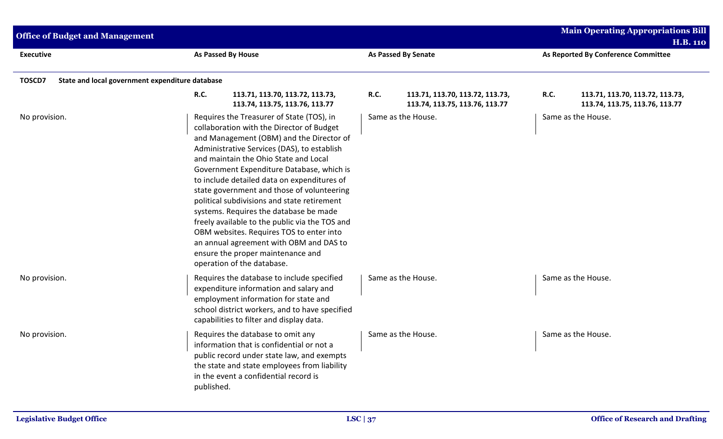| <b>Office of Budget and Management</b>                    |                                                                                                                                                                                                                                                                                                                                                                                                                                                                                                                                                                                                                                                                           |                                                                                  | <b>Main Operating Appropriations Bill</b><br><b>H.B. 110</b>                     |  |  |
|-----------------------------------------------------------|---------------------------------------------------------------------------------------------------------------------------------------------------------------------------------------------------------------------------------------------------------------------------------------------------------------------------------------------------------------------------------------------------------------------------------------------------------------------------------------------------------------------------------------------------------------------------------------------------------------------------------------------------------------------------|----------------------------------------------------------------------------------|----------------------------------------------------------------------------------|--|--|
| <b>Executive</b>                                          | <b>As Passed By House</b>                                                                                                                                                                                                                                                                                                                                                                                                                                                                                                                                                                                                                                                 | As Passed By Senate                                                              | As Reported By Conference Committee                                              |  |  |
| State and local government expenditure database<br>TOSCD7 |                                                                                                                                                                                                                                                                                                                                                                                                                                                                                                                                                                                                                                                                           |                                                                                  |                                                                                  |  |  |
|                                                           | <b>R.C.</b><br>113.71, 113.70, 113.72, 113.73,<br>113.74, 113.75, 113.76, 113.77                                                                                                                                                                                                                                                                                                                                                                                                                                                                                                                                                                                          | <b>R.C.</b><br>113.71, 113.70, 113.72, 113.73,<br>113.74, 113.75, 113.76, 113.77 | <b>R.C.</b><br>113.71, 113.70, 113.72, 113.73,<br>113.74, 113.75, 113.76, 113.77 |  |  |
| No provision.                                             | Requires the Treasurer of State (TOS), in<br>collaboration with the Director of Budget<br>and Management (OBM) and the Director of<br>Administrative Services (DAS), to establish<br>and maintain the Ohio State and Local<br>Government Expenditure Database, which is<br>to include detailed data on expenditures of<br>state government and those of volunteering<br>political subdivisions and state retirement<br>systems. Requires the database be made<br>freely available to the public via the TOS and<br>OBM websites. Requires TOS to enter into<br>an annual agreement with OBM and DAS to<br>ensure the proper maintenance and<br>operation of the database. | Same as the House.                                                               | Same as the House.                                                               |  |  |
| No provision.                                             | Requires the database to include specified<br>expenditure information and salary and<br>employment information for state and<br>school district workers, and to have specified<br>capabilities to filter and display data.                                                                                                                                                                                                                                                                                                                                                                                                                                                | Same as the House.                                                               | Same as the House.                                                               |  |  |
| No provision.                                             | Requires the database to omit any<br>information that is confidential or not a<br>public record under state law, and exempts<br>the state and state employees from liability<br>in the event a confidential record is<br>published.                                                                                                                                                                                                                                                                                                                                                                                                                                       | Same as the House.                                                               | Same as the House.                                                               |  |  |